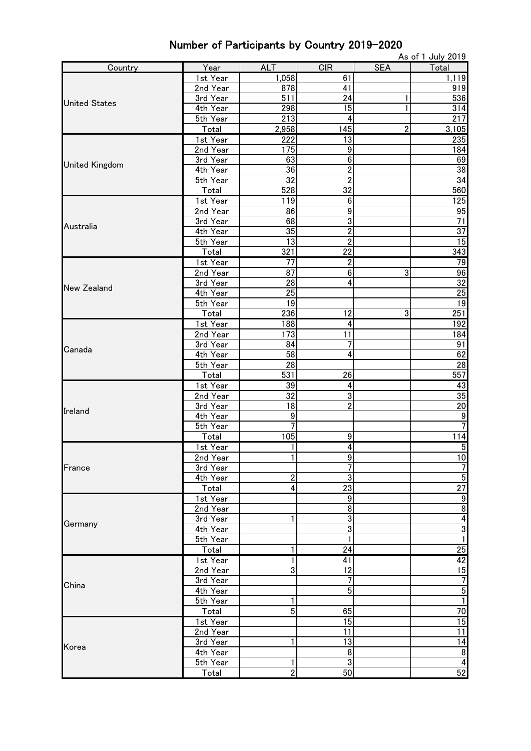|                       |                      |                  |                                    |                | As of 1 July 2019 |
|-----------------------|----------------------|------------------|------------------------------------|----------------|-------------------|
| Country               | $\overline{Y}$ ear   | <b>ALT</b>       | CIR                                | <b>SEA</b>     | Total             |
|                       | 1st Year             | 1,058            | 61                                 |                | 1,119             |
|                       | 2nd Year             | 878              | 41                                 |                | 919               |
| <b>United States</b>  | 3rd Year             | $\overline{511}$ | 24                                 | 1              | 536               |
|                       | 4th Year             | 298              | 15                                 | 1              | 314               |
|                       | 5th Year             | 213              | 4                                  |                | 217               |
|                       | Total                | 2,958            | 145                                | $\overline{2}$ | 3,105             |
|                       | 1st Year             | 222              | $\overline{13}$                    |                | 235               |
|                       | 2nd Year             | 175              | 9                                  |                | 184               |
| <b>United Kingdom</b> | 3rd Year             | 63<br>36         | $\boldsymbol{6}$<br>$\overline{2}$ |                | 69<br>38          |
|                       | 4th Year<br>5th Year | 32               | $\overline{2}$                     |                | $\overline{34}$   |
|                       | Total                | 528              | 32                                 |                | 560               |
|                       | 1st Year             | 119              | $\overline{6}$                     |                | 125               |
|                       | 2nd Year             | 86               | $\overline{9}$                     |                | 95                |
|                       | 3rd Year             | 68               | 3                                  |                | $\overline{71}$   |
| Australia             | 4th Year             | 35               | $\overline{2}$                     |                | $\overline{37}$   |
|                       | 5th Year             | $\overline{13}$  | 2                                  |                | 15                |
|                       | Total                | 321              | 22                                 |                | 343               |
|                       | 1st Year             | 77               | $\overline{2}$                     |                | 79                |
|                       | 2nd Year             | 87               | $\bf 6$                            | 3              | 96                |
|                       | 3rd Year             | 28               | 4                                  |                | 32                |
| <b>New Zealand</b>    | 4th Year             | 25               |                                    |                | 25                |
|                       | 5th Year             | 19               |                                    |                | $\overline{19}$   |
|                       | Total                | 236              | 12                                 | 3              | 251               |
|                       | 1st Year             | 188              | $\overline{4}$                     |                | 192               |
|                       | 2nd Year             | 173              | 11                                 |                | 184               |
|                       | 3rd Year             | 84               | 7                                  |                | 91                |
| Canada                | 4th Year             | 58               | 4                                  |                | 62                |
|                       | 5th Year             | 28               |                                    |                | $\overline{28}$   |
|                       | Total                | 531              | 26                                 |                | 557               |
|                       | 1st Year             | 39               | $\overline{4}$                     |                | 43                |
|                       | 2nd Year             | 32               | $\overline{3}$                     |                | 35                |
|                       | 3rd Year             | 18               | $\overline{2}$                     |                | 20                |
| Ireland               | 4th Year             | 9                |                                    |                | $\boldsymbol{9}$  |
|                       | 5th Year             | 7                |                                    |                | 7                 |
|                       | Total                | 105              | 9                                  |                | 114               |
|                       | 1st Year             | 1                | $\overline{4}$                     |                | $\overline{5}$    |
|                       | 2nd Year             | 1                | 9                                  |                | 10                |
| France                | 3rd Year             |                  | 7                                  |                | 7                 |
|                       | 4th Year             | 2                | $\sqrt{3}$                         |                | $\overline{5}$    |
|                       | Total                | 4                | 23                                 |                | $\overline{27}$   |
|                       | 1st Year             |                  | 9                                  |                | 9                 |
|                       | 2nd Year             |                  | 8                                  |                | $\overline{8}$    |
| Germany               | 3rd Year             | 1                | $\overline{3}$                     |                | $\overline{4}$    |
|                       | 4th Year             |                  | $\overline{3}$                     |                | $\overline{3}$    |
|                       | 5th Year             |                  |                                    |                | $\overline{1}$    |
|                       | Total                | 1                | 24                                 |                | 25                |
|                       | 1st Year             | 1                | 41                                 |                | $\frac{42}{15}$   |
|                       | 2nd Year             | 3                | 12                                 |                |                   |
| China                 | 3rd Year             |                  | 7                                  |                | $\overline{7}$    |
|                       | 4th Year             |                  | $\overline{5}$                     |                | $\overline{5}$    |
|                       | 5th Year             | 1                |                                    |                | $\overline{1}$    |
|                       | Total                | 5                | 65                                 |                | 70                |
|                       | 1st Year             |                  | 15                                 |                | 15                |
|                       | 2nd Year             |                  | 11                                 |                | $\overline{11}$   |
| Korea                 | 3rd Year             | 1                | 13                                 |                | 14                |
|                       | 4th Year             |                  | $\overline{8}$                     |                | $\, 8$            |
|                       | 5th Year             | 1                | $\overline{3}$                     |                | $\overline{4}$    |
|                       | Total                | $\overline{2}$   | 50                                 |                | 52                |

### Number of Participants by Country 2019-2020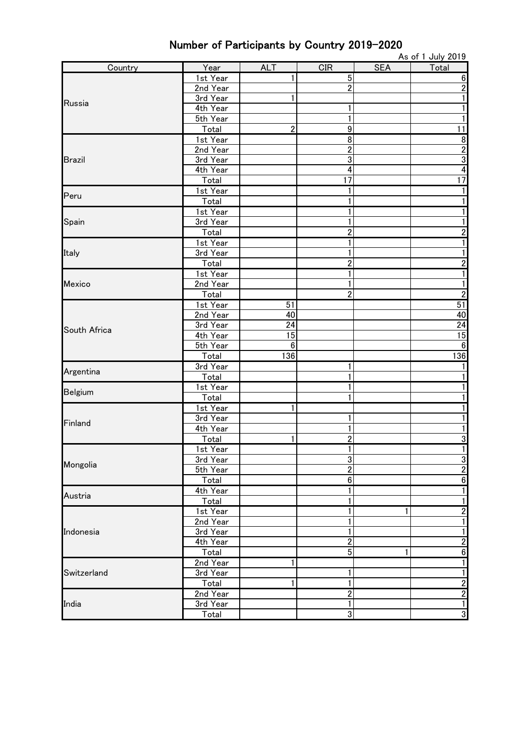|               |          |                |                |            | As of 1 July 2019 |
|---------------|----------|----------------|----------------|------------|-------------------|
| Country       | Year     | <b>ALT</b>     | CIR            | <b>SEA</b> | Total             |
|               | 1st Year | 1              | $\overline{5}$ |            | $6\phantom{1}6$   |
|               | 2nd Year |                | $\overline{2}$ |            | $\overline{c}$    |
| Russia        | 3rd Year |                |                |            |                   |
|               | 4th Year |                |                |            |                   |
|               | 5th Year |                |                |            |                   |
|               | Total    | $\overline{2}$ | 9              |            | 11                |
|               | 1st Year |                | $\overline{8}$ |            | $\boldsymbol{8}$  |
|               | 2nd Year |                | $\overline{2}$ |            | $\overline{2}$    |
| <b>Brazil</b> | 3rd Year |                | 3              |            | 3                 |
|               | 4th Year |                | 4              |            | 4                 |
|               | Total    |                | 17             |            | 17                |
| Peru          | 1st Year |                | 1              |            |                   |
|               | Total    |                | 1              |            |                   |
|               | 1st Year |                | 1              |            |                   |
| Spain         | 3rd Year |                | 1              |            |                   |
|               | Total    |                | 2              |            | $\overline{c}$    |
|               | 1st Year |                |                |            | 1                 |
| Italy         | 3rd Year |                | 1              |            | 1                 |
|               | Total    |                | 2              |            | $\overline{c}$    |
|               | 1st Year |                | 1              |            |                   |
| Mexico        | 2nd Year |                |                |            | 1                 |
|               | Total    |                | $\overline{2}$ |            | $\overline{2}$    |
|               | 1st Year | 51             |                |            | 51                |
|               | 2nd Year | 40             |                |            | 40                |
| South Africa  | 3rd Year | 24             |                |            | $\overline{24}$   |
|               | 4th Year | 15             |                |            | 15                |
|               | 5th Year | $6\phantom{1}$ |                |            | $\boldsymbol{6}$  |
|               | Total    | 136            |                |            | <u>136</u>        |
| Argentina     | 3rd Year |                |                |            |                   |
|               | Total    |                |                |            |                   |
|               | 1st Year |                |                |            |                   |
| Belgium       | Total    |                |                |            |                   |
|               | 1st Year | 1              |                |            |                   |
|               | 3rd Year |                |                |            |                   |
| Finland       | 4th Year |                |                |            |                   |
|               | Total    | 1              | 2              |            | 3                 |
|               | 1st Year |                | 1              |            | 1                 |
|               | 3rd Year |                | $\overline{3}$ |            | $\overline{3}$    |
| Mongolia      | 5th Year |                | $\overline{2}$ |            | $\overline{2}$    |
|               | Total    |                | $\bf 6$        |            | $\bf 6$           |
|               | 4th Year |                |                |            |                   |
| Austria       | Total    |                | 1              |            | 1                 |
|               | 1st Year |                |                | 1          | $\overline{2}$    |
|               | 2nd Year |                | 1              |            | $\mathbf{1}$      |
| Indonesia     | 3rd Year |                | 1              |            | $\mathbf{1}$      |
|               | 4th Year |                | $\overline{c}$ |            | $\overline{2}$    |
|               | Total    |                | 5              | 1          | $6\phantom{1}$    |
|               | 2nd Year |                |                |            | 1                 |
| Switzerland   | 3rd Year |                |                |            | $\mathbf{1}$      |
|               | Total    | 1              | 1              |            |                   |
|               | 2nd Year |                | $\overline{2}$ |            | $\frac{2}{2}$     |
| India         | 3rd Year |                | 1              |            | $\overline{1}$    |
|               | Total    |                | 3              |            | $\overline{3}$    |

Number of Participants by Country 2019-2020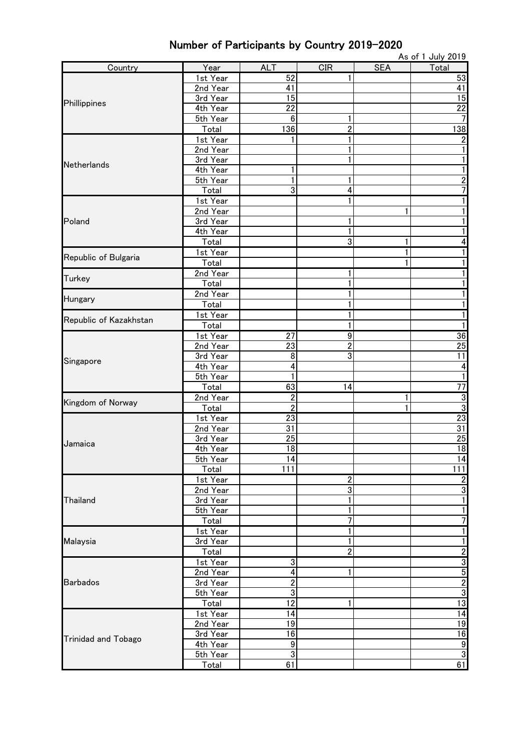|                            |                      |                         |                     |            | As of 1 July 2019     |
|----------------------------|----------------------|-------------------------|---------------------|------------|-----------------------|
| Country                    | Year                 | <b>ALT</b>              | <b>CIR</b>          | <b>SEA</b> | Total                 |
|                            | 1st Year             | 52                      |                     |            | 53                    |
|                            | 2nd Year             | 41                      |                     |            | $\overline{41}$       |
| Phillippines               | 3rd Year             | 15                      |                     |            | 15                    |
|                            | 4th Year             | 22                      |                     |            | $\overline{22}$       |
|                            | 5th Year             | 6                       |                     |            |                       |
|                            | Total                | 136                     | 2                   |            | 138                   |
|                            | 1st Year<br>2nd Year |                         |                     |            |                       |
|                            | 3rd Year             |                         |                     |            |                       |
| Netherlands                | 4th Year             |                         |                     |            |                       |
|                            | 5th Year             | 1                       |                     |            | 2                     |
|                            | Total                | 3                       | 4                   |            |                       |
|                            | 1st Year             |                         |                     |            |                       |
|                            | 2nd Year             |                         |                     | 1          |                       |
| Poland                     | 3rd Year             |                         |                     |            |                       |
|                            | 4th Year             |                         |                     |            |                       |
|                            | Total                |                         | 3                   | 1          | 4                     |
| Republic of Bulgaria       | 1st Year             |                         |                     |            |                       |
|                            | Total                |                         |                     |            |                       |
| Turkey                     | 2nd Year             |                         |                     |            |                       |
|                            | Total                |                         |                     |            |                       |
| Hungary                    | 2nd Year             |                         |                     |            |                       |
|                            | Total                |                         |                     |            |                       |
| Republic of Kazakhstan     | 1st Year             |                         |                     |            |                       |
|                            | $\overline{T}$ otal  |                         |                     |            |                       |
|                            | 1st Year<br>2nd Year | 27<br>$\overline{23}$   | 9<br>$\overline{2}$ |            | 36<br>$\overline{25}$ |
|                            | 3rd Year             | 8                       | 3                   |            | 11                    |
| Singapore                  | 4th Year             | 4                       |                     |            | 4                     |
|                            | 5th Year             | 1                       |                     |            | 1                     |
|                            | Total                | 63                      | 14                  |            | 77                    |
|                            | 2nd Year             | 2                       |                     |            | $\overline{3}$        |
| Kingdom of Norway          | Total                | $\overline{2}$          |                     |            | $\overline{3}$        |
|                            | 1st Year             | 23                      |                     |            | <u>23</u>             |
|                            | 2nd Year             | 31                      |                     |            | 31                    |
| Jamaica                    | 3rd Year             | 25                      |                     |            | $\frac{25}{18}$       |
|                            | 4th Year             | 18                      |                     |            |                       |
|                            | 5th Year             | 14                      |                     |            | 14                    |
|                            | Total                | $\overline{111}$        |                     |            | $\overline{111}$      |
|                            | 1st Year             |                         | 2                   |            | <u>2</u>              |
|                            | 2nd Year             |                         | 3                   |            | $\overline{3}$        |
| Thailand                   | 3rd Year             |                         |                     |            | $\overline{1}$        |
|                            | 5th Year             |                         |                     |            | 1                     |
|                            | Total                |                         |                     |            | 7                     |
| Malaysia                   | 1st Year<br>3rd Year |                         |                     |            | 1<br>1                |
|                            | Total                |                         | 2                   |            | $\overline{2}$        |
|                            | 1st Year             | 3                       |                     |            | $\overline{3}$        |
|                            | 2nd Year             | 4                       |                     |            |                       |
| <b>Barbados</b>            | 3rd Year             | $\overline{\mathbf{c}}$ |                     |            |                       |
|                            | 5th Year             | 3                       |                     |            | <u>ان مان نہ</u>      |
|                            | Total                | $\overline{12}$         |                     |            |                       |
|                            | 1st Year             | $\overline{14}$         |                     |            | $\overline{14}$       |
|                            | 2nd Year             | 19                      |                     |            | 19                    |
| <b>Trinidad and Tobago</b> | 3rd Year             | 16                      |                     |            | $\frac{16}{9}$        |
|                            | 4th Year             | $\boldsymbol{9}$        |                     |            |                       |
|                            | 5th Year             | دن                      |                     |            |                       |
|                            | Total                | 61                      |                     |            | 61                    |

## Number of Participants by Country 2019-2020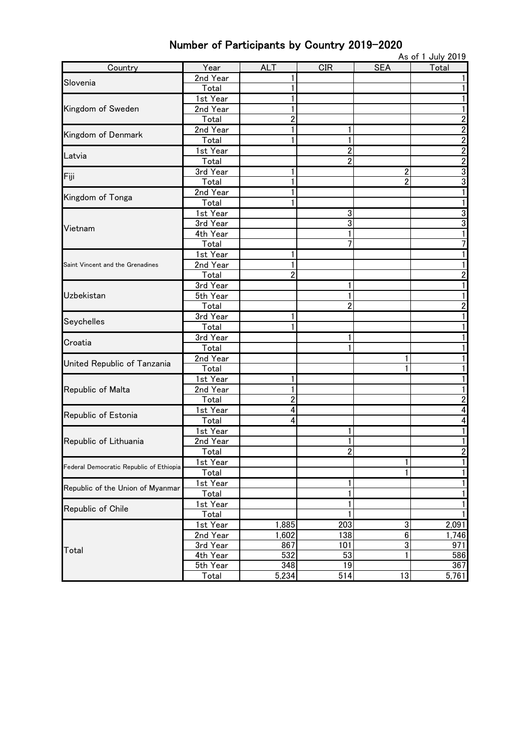| 2nd Year<br>Slovenia<br>Total<br>1<br>1st Year<br>1<br>Kingdom of Sweden<br>2nd Year<br>1<br>$\overline{c}$<br>Total<br>2nd Year<br>1<br>Kingdom of Denmark<br>Total<br>1st Year<br>2<br>Latvia<br>2<br>Total<br>3rd Year<br>2<br>Fiji<br>2<br>Total<br>1<br>2nd Year<br>1<br>Total<br>1st Year<br>3<br>3rd Year<br>3<br>Vietnam<br>4th Year<br>Total<br>1st Year<br>1<br>2nd Year<br>1<br>Saint Vincent and the Grenadines<br>Total<br>2<br>3rd Year<br>5th Year<br>Uzbekistan<br>Total<br>2<br>3rd Year<br>Seychelles<br>Total<br>3rd Year<br>Croatia<br>Total<br>2nd Year<br>United Republic of Tanzania<br>Total<br>1st Year<br>2nd Year<br>Republic of Malta<br>1<br>$\overline{c}$<br>Total<br>1st Year<br>4<br>Republic of Estonia<br>Total<br>4<br>1st Year<br>Republic of Lithuania<br>2nd Year<br>2<br><b>Total</b><br>1st Year<br>Federal Democratic Republic of Ethiopia<br>Total<br>1st Year<br>Republic of the Union of Myanmar<br>Total<br>1st Year<br>Republic of Chile<br>Total<br>1,885<br>203<br>3<br>1st Year<br>$\overline{6}$<br>1,602<br>138<br>2nd Year | Country | Year | <b>ALT</b> | CIR | <b>SEA</b> | As of 1 July 2019<br>Total |
|---------------------------------------------------------------------------------------------------------------------------------------------------------------------------------------------------------------------------------------------------------------------------------------------------------------------------------------------------------------------------------------------------------------------------------------------------------------------------------------------------------------------------------------------------------------------------------------------------------------------------------------------------------------------------------------------------------------------------------------------------------------------------------------------------------------------------------------------------------------------------------------------------------------------------------------------------------------------------------------------------------------------------------------------------------------------------------|---------|------|------------|-----|------------|----------------------------|
|                                                                                                                                                                                                                                                                                                                                                                                                                                                                                                                                                                                                                                                                                                                                                                                                                                                                                                                                                                                                                                                                                 |         |      |            |     |            |                            |
|                                                                                                                                                                                                                                                                                                                                                                                                                                                                                                                                                                                                                                                                                                                                                                                                                                                                                                                                                                                                                                                                                 |         |      |            |     |            |                            |
|                                                                                                                                                                                                                                                                                                                                                                                                                                                                                                                                                                                                                                                                                                                                                                                                                                                                                                                                                                                                                                                                                 |         |      |            |     |            |                            |
|                                                                                                                                                                                                                                                                                                                                                                                                                                                                                                                                                                                                                                                                                                                                                                                                                                                                                                                                                                                                                                                                                 |         |      |            |     |            |                            |
|                                                                                                                                                                                                                                                                                                                                                                                                                                                                                                                                                                                                                                                                                                                                                                                                                                                                                                                                                                                                                                                                                 |         |      |            |     |            |                            |
|                                                                                                                                                                                                                                                                                                                                                                                                                                                                                                                                                                                                                                                                                                                                                                                                                                                                                                                                                                                                                                                                                 |         |      |            |     |            | 2                          |
| Kingdom of Tonga                                                                                                                                                                                                                                                                                                                                                                                                                                                                                                                                                                                                                                                                                                                                                                                                                                                                                                                                                                                                                                                                |         |      |            |     |            | 2                          |
|                                                                                                                                                                                                                                                                                                                                                                                                                                                                                                                                                                                                                                                                                                                                                                                                                                                                                                                                                                                                                                                                                 |         |      |            |     |            | 2                          |
|                                                                                                                                                                                                                                                                                                                                                                                                                                                                                                                                                                                                                                                                                                                                                                                                                                                                                                                                                                                                                                                                                 |         |      |            |     |            | $\boldsymbol{2}$           |
|                                                                                                                                                                                                                                                                                                                                                                                                                                                                                                                                                                                                                                                                                                                                                                                                                                                                                                                                                                                                                                                                                 |         |      |            |     |            | 3                          |
|                                                                                                                                                                                                                                                                                                                                                                                                                                                                                                                                                                                                                                                                                                                                                                                                                                                                                                                                                                                                                                                                                 |         |      |            |     |            | 3                          |
|                                                                                                                                                                                                                                                                                                                                                                                                                                                                                                                                                                                                                                                                                                                                                                                                                                                                                                                                                                                                                                                                                 |         |      |            |     |            |                            |
|                                                                                                                                                                                                                                                                                                                                                                                                                                                                                                                                                                                                                                                                                                                                                                                                                                                                                                                                                                                                                                                                                 |         |      |            |     |            |                            |
|                                                                                                                                                                                                                                                                                                                                                                                                                                                                                                                                                                                                                                                                                                                                                                                                                                                                                                                                                                                                                                                                                 |         |      |            |     |            |                            |
|                                                                                                                                                                                                                                                                                                                                                                                                                                                                                                                                                                                                                                                                                                                                                                                                                                                                                                                                                                                                                                                                                 |         |      |            |     |            |                            |
|                                                                                                                                                                                                                                                                                                                                                                                                                                                                                                                                                                                                                                                                                                                                                                                                                                                                                                                                                                                                                                                                                 |         |      |            |     |            |                            |
|                                                                                                                                                                                                                                                                                                                                                                                                                                                                                                                                                                                                                                                                                                                                                                                                                                                                                                                                                                                                                                                                                 |         |      |            |     |            |                            |
|                                                                                                                                                                                                                                                                                                                                                                                                                                                                                                                                                                                                                                                                                                                                                                                                                                                                                                                                                                                                                                                                                 |         |      |            |     |            |                            |
|                                                                                                                                                                                                                                                                                                                                                                                                                                                                                                                                                                                                                                                                                                                                                                                                                                                                                                                                                                                                                                                                                 |         |      |            |     |            |                            |
|                                                                                                                                                                                                                                                                                                                                                                                                                                                                                                                                                                                                                                                                                                                                                                                                                                                                                                                                                                                                                                                                                 |         |      |            |     |            |                            |
|                                                                                                                                                                                                                                                                                                                                                                                                                                                                                                                                                                                                                                                                                                                                                                                                                                                                                                                                                                                                                                                                                 |         |      |            |     |            |                            |
|                                                                                                                                                                                                                                                                                                                                                                                                                                                                                                                                                                                                                                                                                                                                                                                                                                                                                                                                                                                                                                                                                 |         |      |            |     |            |                            |
|                                                                                                                                                                                                                                                                                                                                                                                                                                                                                                                                                                                                                                                                                                                                                                                                                                                                                                                                                                                                                                                                                 |         |      |            |     |            |                            |
|                                                                                                                                                                                                                                                                                                                                                                                                                                                                                                                                                                                                                                                                                                                                                                                                                                                                                                                                                                                                                                                                                 |         |      |            |     |            |                            |
|                                                                                                                                                                                                                                                                                                                                                                                                                                                                                                                                                                                                                                                                                                                                                                                                                                                                                                                                                                                                                                                                                 |         |      |            |     |            |                            |
|                                                                                                                                                                                                                                                                                                                                                                                                                                                                                                                                                                                                                                                                                                                                                                                                                                                                                                                                                                                                                                                                                 |         |      |            |     |            |                            |
|                                                                                                                                                                                                                                                                                                                                                                                                                                                                                                                                                                                                                                                                                                                                                                                                                                                                                                                                                                                                                                                                                 |         |      |            |     |            |                            |
|                                                                                                                                                                                                                                                                                                                                                                                                                                                                                                                                                                                                                                                                                                                                                                                                                                                                                                                                                                                                                                                                                 |         |      |            |     |            |                            |
|                                                                                                                                                                                                                                                                                                                                                                                                                                                                                                                                                                                                                                                                                                                                                                                                                                                                                                                                                                                                                                                                                 |         |      |            |     |            |                            |
|                                                                                                                                                                                                                                                                                                                                                                                                                                                                                                                                                                                                                                                                                                                                                                                                                                                                                                                                                                                                                                                                                 |         |      |            |     |            |                            |
|                                                                                                                                                                                                                                                                                                                                                                                                                                                                                                                                                                                                                                                                                                                                                                                                                                                                                                                                                                                                                                                                                 |         |      |            |     |            |                            |
|                                                                                                                                                                                                                                                                                                                                                                                                                                                                                                                                                                                                                                                                                                                                                                                                                                                                                                                                                                                                                                                                                 |         |      |            |     |            |                            |
|                                                                                                                                                                                                                                                                                                                                                                                                                                                                                                                                                                                                                                                                                                                                                                                                                                                                                                                                                                                                                                                                                 |         |      |            |     |            |                            |
|                                                                                                                                                                                                                                                                                                                                                                                                                                                                                                                                                                                                                                                                                                                                                                                                                                                                                                                                                                                                                                                                                 |         |      |            |     |            |                            |
|                                                                                                                                                                                                                                                                                                                                                                                                                                                                                                                                                                                                                                                                                                                                                                                                                                                                                                                                                                                                                                                                                 |         |      |            |     |            |                            |
|                                                                                                                                                                                                                                                                                                                                                                                                                                                                                                                                                                                                                                                                                                                                                                                                                                                                                                                                                                                                                                                                                 |         |      |            |     |            | っ                          |
|                                                                                                                                                                                                                                                                                                                                                                                                                                                                                                                                                                                                                                                                                                                                                                                                                                                                                                                                                                                                                                                                                 |         |      |            |     |            |                            |
|                                                                                                                                                                                                                                                                                                                                                                                                                                                                                                                                                                                                                                                                                                                                                                                                                                                                                                                                                                                                                                                                                 |         |      |            |     |            | 1                          |
|                                                                                                                                                                                                                                                                                                                                                                                                                                                                                                                                                                                                                                                                                                                                                                                                                                                                                                                                                                                                                                                                                 |         |      |            |     |            |                            |
|                                                                                                                                                                                                                                                                                                                                                                                                                                                                                                                                                                                                                                                                                                                                                                                                                                                                                                                                                                                                                                                                                 |         |      |            |     |            | 1<br>1                     |
|                                                                                                                                                                                                                                                                                                                                                                                                                                                                                                                                                                                                                                                                                                                                                                                                                                                                                                                                                                                                                                                                                 |         |      |            |     |            |                            |
|                                                                                                                                                                                                                                                                                                                                                                                                                                                                                                                                                                                                                                                                                                                                                                                                                                                                                                                                                                                                                                                                                 |         |      |            |     |            |                            |
|                                                                                                                                                                                                                                                                                                                                                                                                                                                                                                                                                                                                                                                                                                                                                                                                                                                                                                                                                                                                                                                                                 |         |      |            |     |            |                            |
|                                                                                                                                                                                                                                                                                                                                                                                                                                                                                                                                                                                                                                                                                                                                                                                                                                                                                                                                                                                                                                                                                 |         |      |            |     |            | 2,091<br>1,746             |
| 3<br>3rd Year<br>867<br>101                                                                                                                                                                                                                                                                                                                                                                                                                                                                                                                                                                                                                                                                                                                                                                                                                                                                                                                                                                                                                                                     |         |      |            |     |            | 971                        |
| Total<br>532<br>4th Year<br>1<br>53                                                                                                                                                                                                                                                                                                                                                                                                                                                                                                                                                                                                                                                                                                                                                                                                                                                                                                                                                                                                                                             |         |      |            |     |            | 586                        |
| 348<br>19<br>5th Year                                                                                                                                                                                                                                                                                                                                                                                                                                                                                                                                                                                                                                                                                                                                                                                                                                                                                                                                                                                                                                                           |         |      |            |     |            | 367                        |
| 5,234<br>514<br>13<br>Total                                                                                                                                                                                                                                                                                                                                                                                                                                                                                                                                                                                                                                                                                                                                                                                                                                                                                                                                                                                                                                                     |         |      |            |     |            | 5,761                      |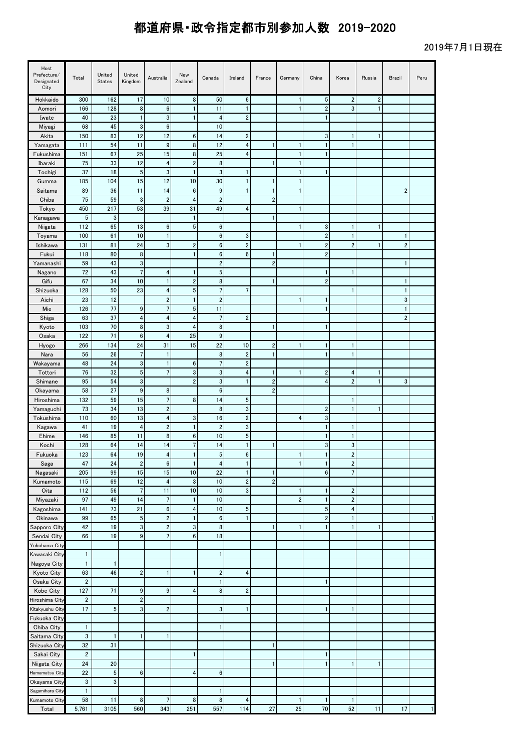| Host<br>Prefecture/<br>Designated<br>City | Total                        | United<br><b>States</b> | United<br>Kingdom       | Australia                      | New<br>Zealand          | Canada                    | Ireland                      | France                       | Germany                 | China                          | Korea                                     | Russia       | <b>Brazil</b>  | Peru |
|-------------------------------------------|------------------------------|-------------------------|-------------------------|--------------------------------|-------------------------|---------------------------|------------------------------|------------------------------|-------------------------|--------------------------------|-------------------------------------------|--------------|----------------|------|
| Hokkaido                                  | 300                          | 162                     | 17                      | 10                             | 8                       | 50                        | 6                            |                              | $\mathbf{1}$            | 5                              | $\overline{2}$                            | 2            |                |      |
| Aomori                                    | 166                          | 128                     | 8                       | $\bf 6$                        | $\mathbf{1}$            | 11                        | $\mathbf{1}$                 |                              | $\mathbf{1}$            | $\boldsymbol{2}$               | 3                                         | $\mathbf{1}$ |                |      |
| Iwate                                     | 40                           | 23                      | 1                       | 3                              | $\mathbf{1}$            | $\overline{\mathbf{4}}$   | $\boldsymbol{2}$             |                              |                         | $\mathbf{1}$                   |                                           |              |                |      |
| Miyagi                                    | 68                           | 45                      | 3                       | $6\phantom{1}6$                |                         | 10                        |                              |                              |                         |                                |                                           |              |                |      |
| Akita                                     | 150                          | 83                      | 12                      | 12                             | $6\phantom{1}6$         | 14                        | $\overline{2}$               |                              |                         | 3                              | 1                                         | 1            |                |      |
| Yamagata                                  | 111<br>151                   | 54<br>67                | 11<br>25                | 9<br>15                        | 8<br>8                  | 12<br>25                  | 4<br>4                       | 1                            | 1<br>$\mathbf{1}$       | $\mathbf{1}$<br>$\overline{1}$ | $\mathbf{1}$                              |              |                |      |
| Fukushima<br>Ibaraki                      | 75                           | 33                      | 12                      | 4                              | $\overline{2}$          | $\bf 8$                   |                              | 1                            | $\mathbf{1}$            |                                |                                           |              |                |      |
| Tochigi                                   | 37                           | 18                      | 5                       | 3                              | $\mathbf{1}$            | 3                         | $\mathbf{1}$                 |                              | $\mathbf{1}$            | $\mathbf{1}$                   |                                           |              |                |      |
| Gumma                                     | 185                          | 104                     | 15                      | 12                             | 10                      | 30                        | $\mathbf{1}$                 | 1                            | 1                       |                                |                                           |              |                |      |
| Saitama                                   | 89                           | 36                      | 11                      | 14                             | $\boldsymbol{6}$        | 9                         | $\mathbf{1}$                 | 1                            | $\mathbf{1}$            |                                |                                           |              | $\overline{2}$ |      |
| Chiba                                     | 75                           | 59                      | 3                       | $\sqrt{2}$                     | $\overline{\mathbf{4}}$ | $\boldsymbol{2}$          |                              | $\overline{2}$               |                         |                                |                                           |              |                |      |
| Tokyo                                     | 450                          | 217                     | 53                      | 39                             | 31                      | 49                        | 4                            |                              | 1                       |                                |                                           |              |                |      |
| Kanagawa                                  | 5                            | 3                       |                         |                                | $\mathbf{1}$            |                           |                              | $\mathbf{1}$                 |                         |                                |                                           |              |                |      |
| Niigata                                   | 112                          | 65                      | 13                      | $\bf 6$                        | 5                       | 6                         |                              |                              | 1                       | 3                              | 1                                         | 1            |                |      |
| Toyama                                    | 100                          | 61                      | 10                      | $\mathbf{1}$                   |                         | $\bf 6$                   | 3                            |                              |                         | $\overline{2}$                 | 1                                         |              | 1              |      |
| Ishikawa                                  | 131                          | 81                      | 24                      | 3                              | $\sqrt{2}$              | $\bf 6$                   | $\overline{2}$               |                              | 1                       | $\overline{\mathbf{c}}$        | $\overline{2}$                            | $\mathbf{1}$ | $\overline{2}$ |      |
| Fukui<br>Yamanashi                        | 118<br>59                    | 80<br>43                | 8<br>3                  |                                | $\mathbf{1}$            | $\bf 6$<br>$\overline{2}$ | $\bf 6$                      | 1<br>$\overline{\mathbf{c}}$ |                         | $\overline{c}$                 |                                           |              | $\mathbf{1}$   |      |
| Nagano                                    | 72                           | 43                      | $\overline{7}$          | 4                              | $\mathbf{1}$            | 5                         |                              |                              |                         | $\mathbf{1}$                   | 1                                         |              |                |      |
| Gifu                                      | 67                           | 34                      | 10                      | $\mathbf{1}$                   | $\sqrt{2}$              | 8                         |                              | 1                            |                         | $\overline{2}$                 |                                           |              | $\mathbf{1}$   |      |
| Shizuoka                                  | 128                          | 50                      | 23                      | 4                              | $\sqrt{5}$              | $\overline{7}$            | $\overline{7}$               |                              |                         |                                | $\mathbf{1}$                              |              | $\mathbf{1}$   |      |
| Aichi                                     | 23                           | 12                      |                         | $\boldsymbol{2}$               | $\mathbf{1}$            | $\boldsymbol{2}$          |                              |                              | 1                       | $\mathbf{1}$                   |                                           |              | $\mathbf 3$    |      |
| Mie                                       | 126                          | 77                      | 9                       | $\overline{7}$                 | $\sqrt{5}$              | 11                        |                              |                              |                         | $\mathbf{1}$                   |                                           |              | $\mathbf{1}$   |      |
| Shiga                                     | 63                           | 37                      | 4                       | 4                              | $\overline{\mathbf{4}}$ | $\overline{7}$            | $\boldsymbol{2}$             |                              |                         |                                |                                           |              | $\overline{2}$ |      |
| Kyoto                                     | 103                          | 70                      | 8                       | 3                              | 4                       | 8                         |                              | 1                            |                         | $\mathbf{1}$                   |                                           |              |                |      |
| Osaka                                     | 122                          | 71                      | 6                       | $\overline{\mathbf{4}}$        | 25                      | $\boldsymbol{9}$          |                              |                              |                         |                                |                                           |              |                |      |
| Hyogo                                     | 266                          | 134                     | 24                      | 31                             | 15                      | 22                        | 10                           | $\overline{\mathbf{c}}$      | $\mathbf{1}$            | $\mathbf{1}$                   | 1                                         |              |                |      |
| Nara                                      | 56                           | 26                      | $\overline{7}$          | $\mathbf{1}$                   |                         | $\bf 8$                   | $\sqrt{2}$                   | 1                            |                         | $\overline{1}$                 | $\mathbf{1}$                              |              |                |      |
| Wakayama<br>Tottori                       | 48<br>76                     | 24<br>32                | 3<br>$\overline{5}$     | $\mathbf{1}$<br>$\overline{7}$ | $\boldsymbol{6}$<br>3   | $\overline{7}$<br>3       | $\overline{2}$<br>4          | 1                            | 1                       | $\overline{2}$                 | 4                                         | 1            |                |      |
| Shimane                                   | 95                           | 54                      | 3                       |                                | $\sqrt{2}$              | 3                         | $\mathbf{1}$                 | $\overline{\mathbf{c}}$      |                         | 4                              | $\overline{2}$                            | $\mathbf{1}$ | 3              |      |
| Okayama                                   | 58                           | 27                      | 9                       | 8                              |                         | $\bf 6$                   |                              | $\overline{\mathbf{c}}$      |                         |                                |                                           |              |                |      |
| Hiroshima                                 | 132                          | 59                      | 15                      | $\overline{7}$                 | 8                       | 14                        | 5                            |                              |                         |                                | $\mathbf{1}$                              |              |                |      |
| Yamaguchi                                 | 73                           | 34                      | 13                      | $\overline{2}$                 |                         | 8                         | 3                            |                              |                         | $\overline{2}$                 | $\mathbf{1}$                              | 1            |                |      |
| Tokushima                                 | 110                          | 60                      | 13                      | 4                              | 3                       | 16                        | $\sqrt{2}$                   |                              | 4                       | 3                              |                                           |              |                |      |
| Kagawa                                    | 41                           | 19                      | 4                       | $\overline{2}$                 | $\mathbf{1}$            | $\overline{2}$            | 3                            |                              |                         | $\mathbf{1}$                   | $\mathbf{1}$                              |              |                |      |
| Ehime                                     | 146                          | 85                      | 11                      | 8                              | $\boldsymbol{6}$        | 10                        | $\sqrt{5}$                   |                              |                         | $\mathbf{1}$                   | $\mathbf{1}$                              |              |                |      |
| Kochi                                     | 128                          | 64                      | 14                      | 14                             | $\overline{7}$          | 14                        | $\mathbf{1}$                 | 1                            |                         | 3                              | $\mathbf 3$                               |              |                |      |
| Fukuoka                                   | 123                          | 64                      | 19                      | 4                              | $\mathbf{1}$            | $\sqrt{5}$                | $\bf 6$                      |                              | 1                       | $\mathbf{1}$                   | $\overline{\mathbf{c}}$                   |              |                |      |
| Saga<br>Nagasaki                          | 47<br>205                    | 24<br>99                | $\boldsymbol{2}$<br>15  | $\bf 6$<br>15                  | $\mathbf{1}$<br>10      | 4<br>22                   | $\mathbf{1}$<br>$\mathbf{1}$ | $\mathbf{1}$                 | 1                       | 1<br>6                         | $\overline{\mathbf{c}}$<br>$\overline{7}$ |              |                |      |
| Kumamoto                                  | 115                          | 69                      | 12                      | 4                              | $\sqrt{3}$              | 10                        | $\boldsymbol{2}$             | $\overline{\mathbf{c}}$      |                         |                                |                                           |              |                |      |
| Oita                                      | 112                          | 56                      | $\overline{7}$          | 11                             | 10                      | 10                        | 3                            |                              | $\mathbf{1}$            | $\mathbf{1}$                   | $\overline{\mathbf{c}}$                   |              |                |      |
| Miyazaki                                  | 97                           | 49                      | 14                      | $\overline{7}$                 | $\mathbf{1}$            | 10                        |                              |                              | $\overline{\mathbf{c}}$ | $\mathbf{1}$                   | $\boldsymbol{2}$                          |              |                |      |
| Kagoshima                                 | 141                          | 73                      | 21                      | $\boldsymbol{6}$               | $\overline{\mathbf{4}}$ | 10                        | 5                            |                              |                         | $\sqrt{5}$                     | 4                                         |              |                |      |
| Okinawa                                   | 99                           | 65                      | $\sqrt{5}$              | $\boldsymbol{2}$               | $\mathbf{1}$            | 6                         | $\mathbf{1}$                 |                              |                         | $\sqrt{2}$                     | $\mathbf{1}$                              |              |                |      |
| Sapporo City                              | 42                           | 19                      | 3                       | $\boldsymbol{2}$               | $\mathsf 3$             | 8                         |                              | 1                            | 1                       | $\mathbf{1}$                   | $\mathbf{1}$                              | $\mathbf{1}$ |                |      |
| Sendai City                               | 66                           | 19                      | 9                       | $\overline{7}$                 | $\boldsymbol{6}$        | 18                        |                              |                              |                         |                                |                                           |              |                |      |
| Yokohama City                             |                              |                         |                         |                                |                         |                           |                              |                              |                         |                                |                                           |              |                |      |
| Kawasaki City<br>Nagoya City              | $\mathbf{1}$<br>$\mathbf{1}$ | $\mathbf{1}$            |                         |                                |                         | $\mathbf{1}$              |                              |                              |                         |                                |                                           |              |                |      |
| Kyoto City                                | 63                           | 46                      | $\sqrt{2}$              | $\mathbf{1}$                   | $\mathbf{1}$            | $\sqrt{2}$                | 4                            |                              |                         |                                |                                           |              |                |      |
| Osaka City                                | $\overline{2}$               |                         |                         |                                |                         | $\mathbf{1}$              |                              |                              |                         | $\mathbf{1}$                   |                                           |              |                |      |
| Kobe City                                 | 127                          | 71                      | $\boldsymbol{9}$        | $\boldsymbol{9}$               | $\overline{4}$          | 8                         | $\overline{2}$               |                              |                         |                                |                                           |              |                |      |
| Hiroshima City                            | $\overline{2}$               |                         | $\overline{\mathbf{c}}$ |                                |                         |                           |                              |                              |                         |                                |                                           |              |                |      |
| Kitakyushu City                           | 17                           | $5\phantom{.0}$         | 3                       | $\boldsymbol{2}$               |                         | 3                         | $\mathbf{1}$                 |                              |                         | $\mathbf{1}$                   | $\mathbf{1}$                              |              |                |      |
| Fukuoka City                              |                              |                         |                         |                                |                         |                           |                              |                              |                         |                                |                                           |              |                |      |
| Chiba City                                | $\mathbf{1}$                 |                         |                         |                                |                         | $\mathbf{1}$              |                              |                              |                         |                                |                                           |              |                |      |
| Saitama City                              | $\mathbf{3}$                 | $\mathbf{1}$            | 1                       | $\mathbf{1}$                   |                         |                           |                              |                              |                         |                                |                                           |              |                |      |
| Shizuoka City                             | 32                           | 31                      |                         |                                |                         |                           |                              | $\mathbf{1}$                 |                         |                                |                                           |              |                |      |
| Sakai City                                | $\overline{\mathbf{c}}$      |                         |                         |                                | $\mathbf{1}$            |                           |                              |                              |                         | $\mathbf{1}$                   |                                           |              |                |      |
| Niigata City<br>Hamamatsu City            | 24<br>22                     | 20<br>$\overline{5}$    | 6                       |                                | $\overline{\mathbf{4}}$ | 6                         |                              | $\mathbf{1}$                 |                         | $\mathbf{1}$                   | $\mathbf{1}$                              | $\mathbf{1}$ |                |      |
| Okayama City                              | $\mathbf{3}$                 | 3                       |                         |                                |                         |                           |                              |                              |                         |                                |                                           |              |                |      |
| Sagamihara City                           | $\mathbf{1}$                 |                         |                         |                                |                         | 1                         |                              |                              |                         |                                |                                           |              |                |      |
| Kumamoto City                             | 58                           | 11                      | 8                       | $\overline{7}$                 | 8                       | 8                         | 4                            |                              | 1                       | $\mathbf{1}$                   | $\mathbf{1}$                              |              |                |      |
| Total                                     | 5,761                        | 3105                    | 560                     | 343                            | 251                     | 557                       | 114                          | 27                           | 25                      | 70                             | 52                                        | 11           | 17             | 1    |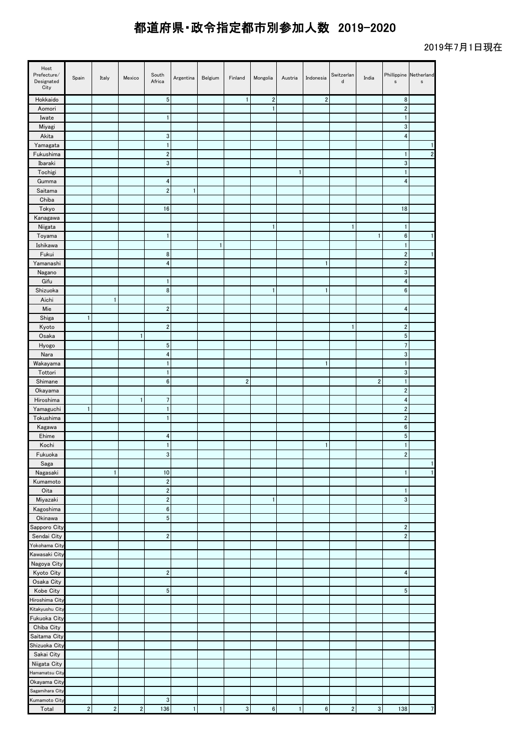| Host<br>Prefecture/<br>Designated<br>City | Spain          | Italy          | Mexico         | South<br>Africa             | Argentina    | Belgium      | Finland      | Mongolia     | Austria      | Indonesia    | Switzerlan<br>d | India          | Phillippine Netherland<br>$\sf{s}$      | $\sf{s}$                |
|-------------------------------------------|----------------|----------------|----------------|-----------------------------|--------------|--------------|--------------|--------------|--------------|--------------|-----------------|----------------|-----------------------------------------|-------------------------|
| Hokkaido                                  |                |                |                | $\sqrt{5}$                  |              |              | $\mathbf{1}$ | $\sqrt{2}$   |              | $\sqrt{2}$   |                 |                | 8                                       |                         |
| Aomori                                    |                |                |                |                             |              |              |              | $\mathbf{1}$ |              |              |                 |                | $\sqrt{2}$                              |                         |
| Iwate                                     |                |                |                | $\mathbf{1}$                |              |              |              |              |              |              |                 |                | $\mathbf{1}$                            |                         |
| Miyagi                                    |                |                |                |                             |              |              |              |              |              |              |                 |                | $\mathbf 3$                             |                         |
| Akita                                     |                |                |                | 3<br>$\mathbf{1}$           |              |              |              |              |              |              |                 |                | $\overline{\mathbf{4}}$                 |                         |
| Yamagata<br>Fukushima                     |                |                |                | $\sqrt{2}$                  |              |              |              |              |              |              |                 |                | $\mathbf{1}$                            | $\overline{\mathbf{c}}$ |
| Ibaraki                                   |                |                |                | 3                           |              |              |              |              |              |              |                 |                | $\mathbf{3}$                            |                         |
| Tochigi                                   |                |                |                |                             |              |              |              |              | $\mathbf{1}$ |              |                 |                | $\mathbf{1}$                            |                         |
| Gumma                                     |                |                |                | 4                           |              |              |              |              |              |              |                 |                | $\overline{4}$                          |                         |
| Saitama                                   |                |                |                | $\overline{2}$              | $\mathbf{1}$ |              |              |              |              |              |                 |                |                                         |                         |
| Chiba                                     |                |                |                |                             |              |              |              |              |              |              |                 |                |                                         |                         |
| Tokyo                                     |                |                |                | 16                          |              |              |              |              |              |              |                 |                | 18                                      |                         |
| Kanagawa                                  |                |                |                |                             |              |              |              |              |              |              |                 |                |                                         |                         |
| Niigata                                   |                |                |                |                             |              |              |              | $\mathbf{1}$ |              |              | $\mathbf{1}$    |                | $\mathbf{1}$                            |                         |
| Toyama                                    |                |                |                | $\mathbf{1}$                |              |              |              |              |              |              |                 | $\mathbf{1}$   | $\bf 6$                                 |                         |
| Ishikawa<br>Fukui                         |                |                |                | 8                           |              | $\mathbf{1}$ |              |              |              |              |                 |                | $\mathbf{1}$<br>$\overline{\mathbf{c}}$ |                         |
| Yamanashi                                 |                |                |                | $\overline{4}$              |              |              |              |              |              | $\mathbf{1}$ |                 |                | $\sqrt{2}$                              |                         |
| Nagano                                    |                |                |                |                             |              |              |              |              |              |              |                 |                | $\mathbf 3$                             |                         |
| Gifu                                      |                |                |                | $\mathbf{1}$                |              |              |              |              |              |              |                 |                | $\overline{\mathbf{4}}$                 |                         |
| Shizuoka                                  |                |                |                | $\bf 8$                     |              |              |              | $\mathbf{1}$ |              | $\mathbf{1}$ |                 |                | $\bf 6$                                 |                         |
| Aichi                                     |                | $\mathbf{1}$   |                |                             |              |              |              |              |              |              |                 |                |                                         |                         |
| Mie                                       |                |                |                | $\sqrt{2}$                  |              |              |              |              |              |              |                 |                | 4                                       |                         |
| Shiga                                     | $\mathbf{1}$   |                |                |                             |              |              |              |              |              |              |                 |                |                                         |                         |
| Kyoto                                     |                |                |                | $\overline{2}$              |              |              |              |              |              |              | $\mathbf{1}$    |                | $\overline{\mathbf{c}}$                 |                         |
| Osaka                                     |                |                | $\mathbf{1}$   |                             |              |              |              |              |              |              |                 |                | $\sqrt{5}$                              |                         |
| Hyogo                                     |                |                |                | $\sqrt{5}$                  |              |              |              |              |              |              |                 |                | $\overline{7}$<br>$\mathbf 3$           |                         |
| Nara                                      |                |                |                | 4<br>$\mathbf{1}$           |              |              |              |              |              | $\mathbf{1}$ |                 |                | $\mathbf{1}$                            |                         |
| Wakayama<br>Tottori                       |                |                |                | $\mathbf{1}$                |              |              |              |              |              |              |                 |                | $\mathbf 3$                             |                         |
| Shimane                                   |                |                |                | $6\phantom{1}6$             |              |              | $\sqrt{2}$   |              |              |              |                 | $\overline{2}$ | $\mathbf{1}$                            |                         |
| Okayama                                   |                |                |                |                             |              |              |              |              |              |              |                 |                | $\boldsymbol{2}$                        |                         |
| Hiroshima                                 |                |                | $\mathbf{1}$   | $\overline{7}$              |              |              |              |              |              |              |                 |                | $\overline{\mathbf{4}}$                 |                         |
| Yamaguchi                                 | $\mathbf{1}$   |                |                | $\mathbf{1}$                |              |              |              |              |              |              |                 |                | $\overline{\mathbf{c}}$                 |                         |
| Tokushima                                 |                |                |                | $\mathbf{1}$                |              |              |              |              |              |              |                 |                | $\sqrt{2}$                              |                         |
| Kagawa                                    |                |                |                |                             |              |              |              |              |              |              |                 |                | $\boldsymbol{6}$                        |                         |
| Ehime                                     |                |                |                | $\overline{\mathbf{4}}$     |              |              |              |              |              |              |                 |                | $5\,$                                   |                         |
| Kochi                                     |                |                |                | $\mathbf{1}$<br>$\mathsf 3$ |              |              |              |              |              | $\mathbf{1}$ |                 |                | $\mathbf{1}$<br>$\boldsymbol{2}$        |                         |
| Fukuoka<br>Saga                           |                |                |                |                             |              |              |              |              |              |              |                 |                |                                         |                         |
| Nagasaki                                  |                | $\mathbf{1}$   |                | 10                          |              |              |              |              |              |              |                 |                | $\mathbf{1}$                            | 1                       |
| Kumamoto                                  |                |                |                | $\sqrt{2}$                  |              |              |              |              |              |              |                 |                |                                         |                         |
| Oita                                      |                |                |                | $\sqrt{2}$                  |              |              |              |              |              |              |                 |                | $\mathbf{1}$                            |                         |
| Miyazaki                                  |                |                |                | $\sqrt{2}$                  |              |              |              | $\mathbf{1}$ |              |              |                 |                | $\mathbf{3}$                            |                         |
| Kagoshima                                 |                |                |                | $\boldsymbol{6}$            |              |              |              |              |              |              |                 |                |                                         |                         |
| Okinawa                                   |                |                |                | $5\phantom{.0}$             |              |              |              |              |              |              |                 |                |                                         |                         |
| Sapporo City                              |                |                |                |                             |              |              |              |              |              |              |                 |                | $\overline{\mathbf{c}}$                 |                         |
| Sendai City<br>Yokohama City              |                |                |                | $\sqrt{2}$                  |              |              |              |              |              |              |                 |                | $\boldsymbol{2}$                        |                         |
| Kawasaki City                             |                |                |                |                             |              |              |              |              |              |              |                 |                |                                         |                         |
| Nagoya City                               |                |                |                |                             |              |              |              |              |              |              |                 |                |                                         |                         |
| Kyoto City                                |                |                |                | $\sqrt{2}$                  |              |              |              |              |              |              |                 |                | 4                                       |                         |
| Osaka City                                |                |                |                |                             |              |              |              |              |              |              |                 |                |                                         |                         |
| Kobe City                                 |                |                |                | $\sqrt{5}$                  |              |              |              |              |              |              |                 |                | $5\phantom{.0}$                         |                         |
| Hiroshima City                            |                |                |                |                             |              |              |              |              |              |              |                 |                |                                         |                         |
| Kitakyushu City                           |                |                |                |                             |              |              |              |              |              |              |                 |                |                                         |                         |
| Fukuoka City                              |                |                |                |                             |              |              |              |              |              |              |                 |                |                                         |                         |
| Chiba City                                |                |                |                |                             |              |              |              |              |              |              |                 |                |                                         |                         |
| Saitama City<br>Shizuoka City             |                |                |                |                             |              |              |              |              |              |              |                 |                |                                         |                         |
| Sakai City                                |                |                |                |                             |              |              |              |              |              |              |                 |                |                                         |                         |
| Niigata City                              |                |                |                |                             |              |              |              |              |              |              |                 |                |                                         |                         |
| Hamamatsu City                            |                |                |                |                             |              |              |              |              |              |              |                 |                |                                         |                         |
| Okayama City                              |                |                |                |                             |              |              |              |              |              |              |                 |                |                                         |                         |
| Sagamihara City                           |                |                |                |                             |              |              |              |              |              |              |                 |                |                                         |                         |
| Kumamoto City                             |                |                |                | $\sqrt{3}$                  |              |              |              |              |              |              |                 |                |                                         |                         |
| Total                                     | $\overline{2}$ | $\overline{2}$ | $\overline{2}$ | 136                         | $\mathbf{1}$ | $\mathbf{1}$ | $\mathbf{3}$ | $\bf 6$      | $\mathbf{1}$ | $\bf 6$      | $\overline{2}$  | $\mathbf{3}$   | 138                                     | $\overline{7}$          |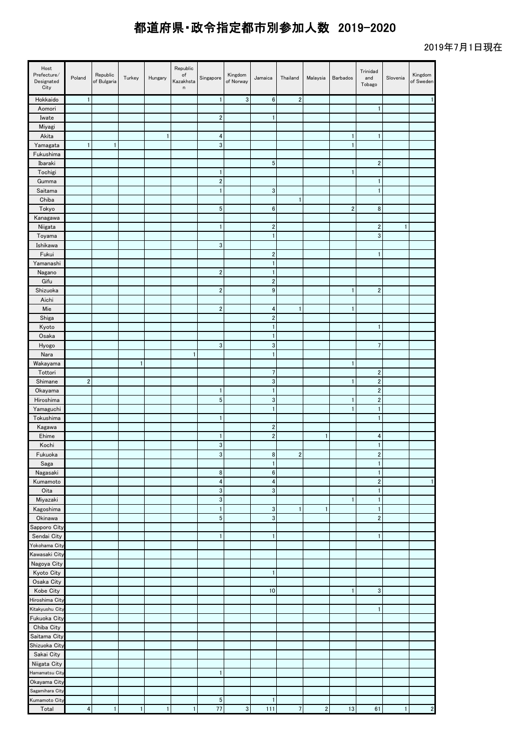| Host<br>Prefecture/<br>Designated<br>City | Poland                  | Republic<br>of Bulgaria | Turkey       | Hungary      | Republic<br>$\circ f$<br>Kazakhsta<br>n | Singapore                      | Kingdom<br>of Norway | Jamaica                               | Thailand       | Malaysia       | Barbados                | Trinidad<br>and<br>Tobago      | Slovenia     | Kingdom<br>of Sweden |
|-------------------------------------------|-------------------------|-------------------------|--------------|--------------|-----------------------------------------|--------------------------------|----------------------|---------------------------------------|----------------|----------------|-------------------------|--------------------------------|--------------|----------------------|
| Hokkaido                                  | $\mathbf{1}$            |                         |              |              |                                         | $\mathbf{1}$                   | $\mathbf{3}$         | $\bf 6$                               | $\overline{2}$ |                |                         |                                |              |                      |
| Aomori                                    |                         |                         |              |              |                                         | $\sqrt{2}$                     |                      | $\mathbf{1}$                          |                |                |                         | $\mathbf{1}$                   |              |                      |
| Iwate<br>Miyagi                           |                         |                         |              |              |                                         |                                |                      |                                       |                |                |                         |                                |              |                      |
| Akita                                     |                         |                         |              | $\mathbf{1}$ |                                         | 4                              |                      |                                       |                |                | $\mathbf{1}$            | $\mathbf{1}$                   |              |                      |
| Yamagata                                  | $\mathbf{1}$            | $\mathbf{1}$            |              |              |                                         | $\mathbf{3}$                   |                      |                                       |                |                | $\mathbf{1}$            |                                |              |                      |
| Fukushima                                 |                         |                         |              |              |                                         |                                |                      |                                       |                |                |                         |                                |              |                      |
| Ibaraki                                   |                         |                         |              |              |                                         |                                |                      | $\sqrt{5}$                            |                |                |                         | $\sqrt{2}$                     |              |                      |
| Tochigi                                   |                         |                         |              |              |                                         | $\mathbf{1}$                   |                      |                                       |                |                | $\mathbf{1}$            |                                |              |                      |
| Gumma<br>Saitama                          |                         |                         |              |              |                                         | $\overline{2}$<br>$\mathbf{1}$ |                      | 3                                     |                |                |                         | $\mathbf{1}$<br>$\mathbf{1}$   |              |                      |
| Chiba                                     |                         |                         |              |              |                                         |                                |                      |                                       | $\mathbf{1}$   |                |                         |                                |              |                      |
| Tokyo                                     |                         |                         |              |              |                                         | $\sqrt{5}$                     |                      | $\boldsymbol{6}$                      |                |                | $\overline{\mathbf{c}}$ | $\bf 8$                        |              |                      |
| Kanagawa                                  |                         |                         |              |              |                                         |                                |                      |                                       |                |                |                         |                                |              |                      |
| Niigata                                   |                         |                         |              |              |                                         | $\mathbf{1}$                   |                      | $\overline{2}$                        |                |                |                         | $\overline{2}$                 | $\mathbf{1}$ |                      |
| Toyama                                    |                         |                         |              |              |                                         |                                |                      | $\mathbf{1}$                          |                |                |                         | $\sqrt{3}$                     |              |                      |
| Ishikawa<br>Fukui                         |                         |                         |              |              |                                         | 3                              |                      | $\sqrt{2}$                            |                |                |                         | $\mathbf{1}$                   |              |                      |
| Yamanashi                                 |                         |                         |              |              |                                         |                                |                      | $\mathbf{1}$                          |                |                |                         |                                |              |                      |
| Nagano                                    |                         |                         |              |              |                                         | $\overline{2}$                 |                      | $\mathbf{1}$                          |                |                |                         |                                |              |                      |
| Gifu                                      |                         |                         |              |              |                                         |                                |                      | $\boldsymbol{2}$                      |                |                |                         |                                |              |                      |
| Shizuoka                                  |                         |                         |              |              |                                         | $\overline{2}$                 |                      | $\boldsymbol{9}$                      |                |                | $\mathbf{1}$            | $\sqrt{2}$                     |              |                      |
| Aichi                                     |                         |                         |              |              |                                         |                                |                      |                                       |                |                |                         |                                |              |                      |
| Mie                                       |                         |                         |              |              |                                         | $\sqrt{2}$                     |                      | $\overline{\mathbf{4}}$<br>$\sqrt{2}$ | $\mathbf{1}$   |                | $\mathbf{1}$            |                                |              |                      |
| Shiga<br>Kyoto                            |                         |                         |              |              |                                         |                                |                      | $\mathbf{1}$                          |                |                |                         | $\mathbf{1}$                   |              |                      |
| Osaka                                     |                         |                         |              |              |                                         |                                |                      | $\mathbf{1}$                          |                |                |                         |                                |              |                      |
| Hyogo                                     |                         |                         |              |              |                                         | $\sqrt{3}$                     |                      | $\ensuremath{\mathsf{3}}$             |                |                |                         | $\overline{7}$                 |              |                      |
| Nara                                      |                         |                         |              |              | $\mathbf{1}$                            |                                |                      | $\mathbf{1}$                          |                |                |                         |                                |              |                      |
| Wakayama                                  |                         |                         | $\mathbf{1}$ |              |                                         |                                |                      |                                       |                |                | $\mathbf{1}$            |                                |              |                      |
| Tottori                                   |                         |                         |              |              |                                         |                                |                      | $\overline{7}$                        |                |                |                         | $\sqrt{2}$                     |              |                      |
| Shimane<br>Okayama                        | $\sqrt{2}$              |                         |              |              |                                         | $\mathbf{1}$                   |                      | $\sqrt{3}$<br>$\mathbf{1}$            |                |                | $\mathbf{1}$            | $\sqrt{2}$<br>$\sqrt{2}$       |              |                      |
| Hiroshima                                 |                         |                         |              |              |                                         | $\sqrt{5}$                     |                      | $\sqrt{3}$                            |                |                | $\mathbf{1}$            | $\sqrt{2}$                     |              |                      |
| Yamaguchi                                 |                         |                         |              |              |                                         |                                |                      | $\mathbf{1}$                          |                |                | $\mathbf{1}$            | $\mathbf{1}$                   |              |                      |
| Tokushima                                 |                         |                         |              |              |                                         | $\mathbf{1}$                   |                      |                                       |                |                |                         | $\mathbf{1}$                   |              |                      |
| Kagawa                                    |                         |                         |              |              |                                         |                                |                      | $\sqrt{2}$                            |                |                |                         |                                |              |                      |
| Ehime<br>Kochi                            |                         |                         |              |              |                                         | $\mathbf{1}$<br>3              |                      | $\boldsymbol{2}$                      |                | $\mathbf{1}$   |                         | $\overline{4}$<br>$\mathbf{1}$ |              |                      |
| Fukuoka                                   |                         |                         |              |              |                                         | 3                              |                      | $\bf 8$                               | $\sqrt{2}$     |                |                         | $\sqrt{2}$                     |              |                      |
| Saga                                      |                         |                         |              |              |                                         |                                |                      | $\mathbf{1}$                          |                |                |                         | 1                              |              |                      |
| Nagasaki                                  |                         |                         |              |              |                                         | 8                              |                      | $\bf 6$                               |                |                |                         | $\mathbf{1}$                   |              |                      |
| Kumamoto                                  |                         |                         |              |              |                                         | $\overline{\mathbf{4}}$        |                      | $\pmb{4}$                             |                |                |                         | $\sqrt{2}$                     |              |                      |
| Oita                                      |                         |                         |              |              |                                         | $\sqrt{3}$                     |                      | $\mathsf 3$                           |                |                |                         | $\mathbf{1}$                   |              |                      |
| Miyazaki<br>Kagoshima                     |                         |                         |              |              |                                         | $\sqrt{3}$<br>$\mathbf{1}$     |                      | 3                                     | $\mathbf{1}$   | $\mathbf{1}$   | $\mathbf{1}$            | $\mathbf{1}$<br>$\mathbf{1}$   |              |                      |
| Okinawa                                   |                         |                         |              |              |                                         | $\sqrt{5}$                     |                      | $\mathbf 3$                           |                |                |                         | $\sqrt{2}$                     |              |                      |
| Sapporo City                              |                         |                         |              |              |                                         |                                |                      |                                       |                |                |                         |                                |              |                      |
| Sendai City                               |                         |                         |              |              |                                         | $\mathbf{1}$                   |                      | $\mathbf{1}$                          |                |                |                         | $\mathbf{1}$                   |              |                      |
| Yokohama City                             |                         |                         |              |              |                                         |                                |                      |                                       |                |                |                         |                                |              |                      |
| Kawasaki City                             |                         |                         |              |              |                                         |                                |                      |                                       |                |                |                         |                                |              |                      |
| Nagoya City<br>Kyoto City                 |                         |                         |              |              |                                         |                                |                      | $\mathbf{1}$                          |                |                |                         |                                |              |                      |
| Osaka City                                |                         |                         |              |              |                                         |                                |                      |                                       |                |                |                         |                                |              |                      |
| Kobe City                                 |                         |                         |              |              |                                         |                                |                      | 10                                    |                |                | $\mathbf{1}$            | $\sqrt{3}$                     |              |                      |
| Hiroshima City                            |                         |                         |              |              |                                         |                                |                      |                                       |                |                |                         |                                |              |                      |
| Kitakyushu City                           |                         |                         |              |              |                                         |                                |                      |                                       |                |                |                         | $\mathbf{1}$                   |              |                      |
| Fukuoka City                              |                         |                         |              |              |                                         |                                |                      |                                       |                |                |                         |                                |              |                      |
| Chiba City<br>Saitama City                |                         |                         |              |              |                                         |                                |                      |                                       |                |                |                         |                                |              |                      |
| Shizuoka City                             |                         |                         |              |              |                                         |                                |                      |                                       |                |                |                         |                                |              |                      |
| Sakai City                                |                         |                         |              |              |                                         |                                |                      |                                       |                |                |                         |                                |              |                      |
| Niigata City                              |                         |                         |              |              |                                         |                                |                      |                                       |                |                |                         |                                |              |                      |
| Hamamatsu City                            |                         |                         |              |              |                                         | 1                              |                      |                                       |                |                |                         |                                |              |                      |
| Okayama City                              |                         |                         |              |              |                                         |                                |                      |                                       |                |                |                         |                                |              |                      |
| Sagamihara City                           |                         |                         |              |              |                                         | $5\phantom{.0}$                |                      |                                       |                |                |                         |                                |              |                      |
| Kumamoto City<br>Total                    | $\overline{\mathbf{4}}$ | 1                       | $\mathbf{1}$ | 1            | $\mathbf{1}$                            | $77\,$                         | 3 <sup>1</sup>       | $\mathbf{1}$<br>111                   | 7              | $\overline{2}$ | 13                      | 61                             | $\mathbf{1}$ | $\overline{2}$       |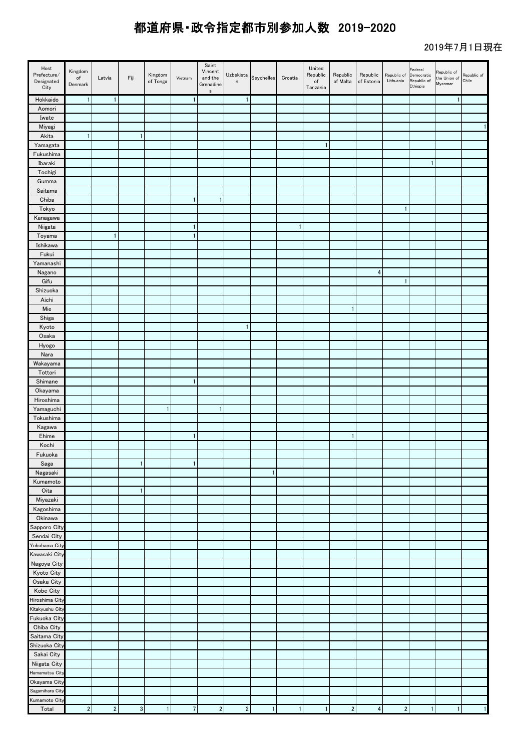| Host<br>Prefecture/<br>Designated<br>City | Kingdom<br>of<br>Denmark | Latvia         | Fiji           | Kingdom<br>of Tonga | Vietnam      | Saint<br>Vincent<br>and the<br>Grenadine<br>$\mathsf{s}$ | Uzbekista<br>$\sf n$ | Seychelles   | Croatia      | United<br>Republic<br>of<br>Tanzania | Republic<br>of Malta | Republic<br>of Estonia  | Republic of<br>Lithuania | Federal<br>Democratic<br>Republic of<br>Ethiopia | Republic of<br>the Union of<br>Myanmar | Republic of<br>Chile |
|-------------------------------------------|--------------------------|----------------|----------------|---------------------|--------------|----------------------------------------------------------|----------------------|--------------|--------------|--------------------------------------|----------------------|-------------------------|--------------------------|--------------------------------------------------|----------------------------------------|----------------------|
| Hokkaido                                  | $\mathbf{1}$             | $\mathbf{1}$   |                |                     | -1           |                                                          | $\mathbf{1}$         |              |              |                                      |                      |                         |                          |                                                  | 1                                      |                      |
| Aomori                                    |                          |                |                |                     |              |                                                          |                      |              |              |                                      |                      |                         |                          |                                                  |                                        |                      |
| Iwate<br>Miyagi                           |                          |                |                |                     |              |                                                          |                      |              |              |                                      |                      |                         |                          |                                                  |                                        | $\mathbf{1}$         |
| Akita                                     | $\mathbf{1}$             |                | $\mathbf{1}$   |                     |              |                                                          |                      |              |              |                                      |                      |                         |                          |                                                  |                                        |                      |
| Yamagata                                  |                          |                |                |                     |              |                                                          |                      |              |              | $\mathbf{1}$                         |                      |                         |                          |                                                  |                                        |                      |
| Fukushima                                 |                          |                |                |                     |              |                                                          |                      |              |              |                                      |                      |                         |                          |                                                  |                                        |                      |
| Ibaraki                                   |                          |                |                |                     |              |                                                          |                      |              |              |                                      |                      |                         |                          | $\mathbf{1}$                                     |                                        |                      |
| Tochigi                                   |                          |                |                |                     |              |                                                          |                      |              |              |                                      |                      |                         |                          |                                                  |                                        |                      |
| Gumma                                     |                          |                |                |                     |              |                                                          |                      |              |              |                                      |                      |                         |                          |                                                  |                                        |                      |
| Saitama<br>Chiba                          |                          |                |                |                     | $\mathbf{1}$ | $\mathbf{1}$                                             |                      |              |              |                                      |                      |                         |                          |                                                  |                                        |                      |
| Tokyo                                     |                          |                |                |                     |              |                                                          |                      |              |              |                                      |                      |                         | $\mathbf{1}$             |                                                  |                                        |                      |
| Kanagawa                                  |                          |                |                |                     |              |                                                          |                      |              |              |                                      |                      |                         |                          |                                                  |                                        |                      |
| Niigata                                   |                          |                |                |                     | $\mathbf{1}$ |                                                          |                      |              | $\mathbf{1}$ |                                      |                      |                         |                          |                                                  |                                        |                      |
| Toyama                                    |                          | $\mathbf{1}$   |                |                     | $\mathbf{1}$ |                                                          |                      |              |              |                                      |                      |                         |                          |                                                  |                                        |                      |
| Ishikawa<br>Fukui                         |                          |                |                |                     |              |                                                          |                      |              |              |                                      |                      |                         |                          |                                                  |                                        |                      |
| Yamanashi                                 |                          |                |                |                     |              |                                                          |                      |              |              |                                      |                      |                         |                          |                                                  |                                        |                      |
| Nagano                                    |                          |                |                |                     |              |                                                          |                      |              |              |                                      |                      | $\overline{\mathbf{4}}$ |                          |                                                  |                                        |                      |
| Gifu                                      |                          |                |                |                     |              |                                                          |                      |              |              |                                      |                      |                         | $\mathbf{1}$             |                                                  |                                        |                      |
| Shizuoka                                  |                          |                |                |                     |              |                                                          |                      |              |              |                                      |                      |                         |                          |                                                  |                                        |                      |
| Aichi<br>Mie                              |                          |                |                |                     |              |                                                          |                      |              |              |                                      | $\mathbf{1}$         |                         |                          |                                                  |                                        |                      |
| Shiga                                     |                          |                |                |                     |              |                                                          |                      |              |              |                                      |                      |                         |                          |                                                  |                                        |                      |
| Kyoto                                     |                          |                |                |                     |              |                                                          | $\mathbf{1}$         |              |              |                                      |                      |                         |                          |                                                  |                                        |                      |
| Osaka                                     |                          |                |                |                     |              |                                                          |                      |              |              |                                      |                      |                         |                          |                                                  |                                        |                      |
| Hyogo                                     |                          |                |                |                     |              |                                                          |                      |              |              |                                      |                      |                         |                          |                                                  |                                        |                      |
| Nara                                      |                          |                |                |                     |              |                                                          |                      |              |              |                                      |                      |                         |                          |                                                  |                                        |                      |
| Wakayama<br>Tottori                       |                          |                |                |                     |              |                                                          |                      |              |              |                                      |                      |                         |                          |                                                  |                                        |                      |
| Shimane                                   |                          |                |                |                     | $\mathbf{1}$ |                                                          |                      |              |              |                                      |                      |                         |                          |                                                  |                                        |                      |
| Okayama                                   |                          |                |                |                     |              |                                                          |                      |              |              |                                      |                      |                         |                          |                                                  |                                        |                      |
| Hiroshima                                 |                          |                |                |                     |              |                                                          |                      |              |              |                                      |                      |                         |                          |                                                  |                                        |                      |
| Yamaguchi                                 |                          |                |                | $\mathbf{1}$        |              | $\mathbf{1}$                                             |                      |              |              |                                      |                      |                         |                          |                                                  |                                        |                      |
| Tokushima<br>Kagawa                       |                          |                |                |                     |              |                                                          |                      |              |              |                                      |                      |                         |                          |                                                  |                                        |                      |
| Ehime                                     |                          |                |                |                     | 1            |                                                          |                      |              |              |                                      | 1                    |                         |                          |                                                  |                                        |                      |
| Kochi                                     |                          |                |                |                     |              |                                                          |                      |              |              |                                      |                      |                         |                          |                                                  |                                        |                      |
| Fukuoka                                   |                          |                |                |                     |              |                                                          |                      |              |              |                                      |                      |                         |                          |                                                  |                                        |                      |
| Saga                                      |                          |                | 1              |                     | $\mathbf{I}$ |                                                          |                      |              |              |                                      |                      |                         |                          |                                                  |                                        |                      |
| Nagasaki<br>Kumamoto                      |                          |                |                |                     |              |                                                          |                      | $\mathbf{1}$ |              |                                      |                      |                         |                          |                                                  |                                        |                      |
| Oita                                      |                          |                | $\mathbf{1}$   |                     |              |                                                          |                      |              |              |                                      |                      |                         |                          |                                                  |                                        |                      |
| Miyazaki                                  |                          |                |                |                     |              |                                                          |                      |              |              |                                      |                      |                         |                          |                                                  |                                        |                      |
| Kagoshima                                 |                          |                |                |                     |              |                                                          |                      |              |              |                                      |                      |                         |                          |                                                  |                                        |                      |
| Okinawa                                   |                          |                |                |                     |              |                                                          |                      |              |              |                                      |                      |                         |                          |                                                  |                                        |                      |
| Sapporo City<br>Sendai City               |                          |                |                |                     |              |                                                          |                      |              |              |                                      |                      |                         |                          |                                                  |                                        |                      |
| Yokohama City                             |                          |                |                |                     |              |                                                          |                      |              |              |                                      |                      |                         |                          |                                                  |                                        |                      |
| Kawasaki City                             |                          |                |                |                     |              |                                                          |                      |              |              |                                      |                      |                         |                          |                                                  |                                        |                      |
| Nagoya City                               |                          |                |                |                     |              |                                                          |                      |              |              |                                      |                      |                         |                          |                                                  |                                        |                      |
| Kyoto City                                |                          |                |                |                     |              |                                                          |                      |              |              |                                      |                      |                         |                          |                                                  |                                        |                      |
| Osaka City                                |                          |                |                |                     |              |                                                          |                      |              |              |                                      |                      |                         |                          |                                                  |                                        |                      |
| Kobe City<br>Hiroshima City               |                          |                |                |                     |              |                                                          |                      |              |              |                                      |                      |                         |                          |                                                  |                                        |                      |
| Kitakyushu City                           |                          |                |                |                     |              |                                                          |                      |              |              |                                      |                      |                         |                          |                                                  |                                        |                      |
| Fukuoka City                              |                          |                |                |                     |              |                                                          |                      |              |              |                                      |                      |                         |                          |                                                  |                                        |                      |
| Chiba City                                |                          |                |                |                     |              |                                                          |                      |              |              |                                      |                      |                         |                          |                                                  |                                        |                      |
| Saitama City                              |                          |                |                |                     |              |                                                          |                      |              |              |                                      |                      |                         |                          |                                                  |                                        |                      |
| Shizuoka City                             |                          |                |                |                     |              |                                                          |                      |              |              |                                      |                      |                         |                          |                                                  |                                        |                      |
| Sakai City<br>Niigata City                |                          |                |                |                     |              |                                                          |                      |              |              |                                      |                      |                         |                          |                                                  |                                        |                      |
| Hamamatsu City                            |                          |                |                |                     |              |                                                          |                      |              |              |                                      |                      |                         |                          |                                                  |                                        |                      |
| Okayama City                              |                          |                |                |                     |              |                                                          |                      |              |              |                                      |                      |                         |                          |                                                  |                                        |                      |
| Sagamihara City                           |                          |                |                |                     |              |                                                          |                      |              |              |                                      |                      |                         |                          |                                                  |                                        |                      |
| Kumamoto City                             |                          |                |                |                     |              |                                                          |                      |              |              |                                      |                      |                         |                          |                                                  |                                        |                      |
| Total                                     | $\overline{2}$           | $\overline{2}$ | $\overline{3}$ | 1                   | 7            | $\overline{2}$                                           | $\overline{2}$       | 1            | $\vert$ 1    | $\vert$ 1                            | $\mathbf{2}$         | $\vert 4 \vert$         | $\overline{2}$           | 1                                                | $\mathbf{1}$                           | $\mathbf{1}$         |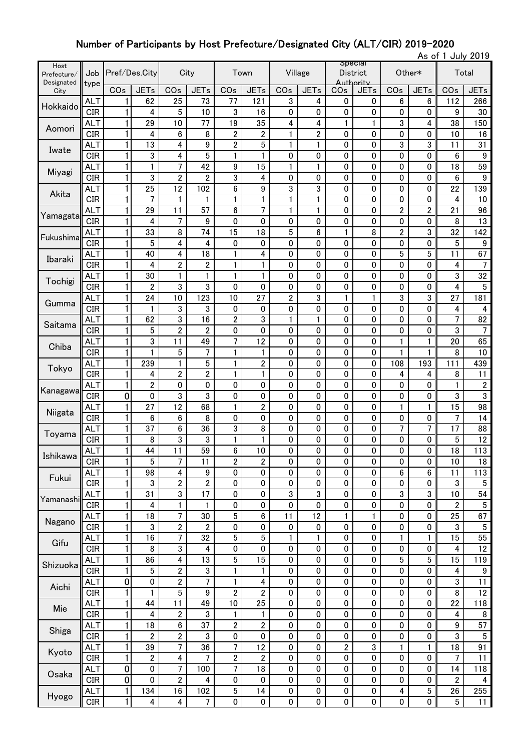### Number of Participants by Host Prefecture/Designated City (ALT/CIR) 2019-2020

|                                   |                          |                   |                      |                              |                         |                             |                      |                     |             |                              |                                         |                            |                | As of 1 July 2019       |                         |
|-----------------------------------|--------------------------|-------------------|----------------------|------------------------------|-------------------------|-----------------------------|----------------------|---------------------|-------------|------------------------------|-----------------------------------------|----------------------------|----------------|-------------------------|-------------------------|
| Host<br>Prefecture/<br>Designated | Job<br>type              |                   | Pref/Des.City        |                              | City                    | Town                        |                      |                     | Village     |                              | <b>Special</b><br>District<br>Authority |                            | Other*         | Total                   |                         |
| City                              |                          | COs               | <b>JETs</b>          | COs                          | <b>JETs</b>             | COs                         | <b>JETs</b>          | COs                 | <b>JETs</b> | COs                          | <b>JETs</b>                             | CO <sub>s</sub>            | <b>JETs</b>    | COs                     | <b>JETs</b>             |
| Hokkaido                          | <b>ALT</b>               | 1                 | 62                   | 25                           | 73                      | 77                          | 121                  | 3                   | 4           | 0                            | 0                                       | 6                          | 6              | 112                     | 266                     |
|                                   | <b>CIR</b>               | 1                 | 4                    | 5                            | 10                      | 3                           | 16                   | 0                   | 0           | 0                            | 0                                       | 0                          | 0              | 9                       | 30                      |
| Aomori                            | <b>ALT</b><br><b>CIR</b> | 1<br>1            | 29<br>4              | 10<br>6                      | 77<br>8                 | 19<br>$\overline{2}$        | 35<br>$\overline{c}$ | 4<br>1              | 4<br>2      | 1<br>0                       | $\mathbf{1}$<br>0                       | 3<br>0                     | 4<br>0         | 38<br>10                | 150<br>16               |
|                                   | <b>ALT</b>               | 1                 | 13                   | 4                            | 9                       | $\overline{2}$              | $\overline{5}$       | 1                   | 1           | 0                            | 0                                       | 3                          | 3              | 11                      | 31                      |
| Iwate                             | <b>CIR</b>               | 1                 | 3                    | 4                            | 5                       | 1                           | 1                    | 0                   | 0           | 0                            | 0                                       | 0                          | 0              | 6                       | 9                       |
|                                   | <b>ALT</b>               | $\mathbf{1}$      | 1                    | 7                            | 42                      | 9                           | 15                   | 1                   | 1           | 0                            | 0                                       | 0                          | 0              | 18                      | 59                      |
| Miyagi                            | <b>CIR</b>               | $\mathbf{1}$      | 3                    | $\overline{2}$               | 2                       | 3                           | 4                    | 0                   | 0           | 0                            | 0                                       | 0                          | 0              | 6                       | 9                       |
| Akita                             | <b>ALT</b>               | 1                 | 25                   | 12                           | 102                     | 6                           | $\boldsymbol{9}$     | 3                   | 3           | 0                            | 0                                       | 0                          | 0              | 22                      | 139                     |
|                                   | CIR                      | 1                 | 7                    | 1                            | 1                       | $\mathbf{1}$                | 1                    | 1                   | 1           | 0                            | 0                                       | 0                          | 0              | 4                       | 10                      |
| Yamagata                          | <b>ALT</b><br><b>CIR</b> | 1<br>1            | 29                   | 11                           | 57<br>9                 | $\boldsymbol{6}$            | $\overline{7}$       | 1                   | 1           | 0                            | 0                                       | $\overline{2}$<br>$\bf{0}$ | $\overline{2}$ | 21                      | 96<br>13                |
|                                   | <b>ALT</b>               | 1                 | 4<br>33              | 7<br>8                       | 74                      | 0<br>15                     | 0<br>18              | 0<br>$\overline{5}$ | 0<br>6      | 0<br>1                       | 0<br>8                                  | $\overline{2}$             | 0<br>3         | 8<br>32                 | 142                     |
| Fukushima                         | <b>CIR</b>               | 1                 | 5                    | 4                            | 4                       | 0                           | 0                    | 0                   | 0           | 0                            | 0                                       | 0                          | 0              | 5                       | 9                       |
|                                   | <b>ALT</b>               | 1                 | 40                   | 4                            | 18                      | $\mathbf{1}$                | 4                    | 0                   | 0           | 0                            | 0                                       | 5                          | 5              | 11                      | 67                      |
| Ibaraki                           | <b>CIR</b>               | 1                 | 4                    | $\overline{2}$               | $\overline{2}$          | 1                           | 1                    | 0                   | 0           | 0                            | 0                                       | 0                          | 0              | 4                       | 7                       |
| Tochigi                           | <b>ALT</b>               | 1                 | 30                   | 1                            | $\mathbf{1}$            | $\mathbf{1}$                | 1                    | 0                   | 0           | 0                            | 0                                       | 0                          | 0              | 3                       | 32                      |
|                                   | <b>CIR</b>               | $\mathbf{1}$      | $\overline{2}$       | 3                            | 3                       | $\pmb{0}$                   | 0                    | 0                   | 0           | 0                            | 0                                       | 0                          | $\pmb{0}$      | 4                       | 5                       |
| Gumma                             | <b>ALT</b>               | 1                 | 24                   | 10                           | 123                     | 10                          | 27                   | $\overline{c}$      | 3           | 1                            | $\mathbf{1}$                            | 3                          | 3              | 27                      | 181                     |
|                                   | <b>CIR</b>               | 1                 | 1                    | 3                            | 3                       | 0                           | $\pmb{0}$            | 0                   | 0           | 0                            | $\pmb{0}$                               | 0                          | $\pmb{0}$      | 4                       | 4                       |
| Saitama                           | <b>ALT</b><br><b>CIR</b> | 1                 | 62<br>5              | 3                            | 16                      | $\mathbf 2$                 | 3<br>0               | 1<br>0              | 1           | 0                            | 0<br>0                                  | 0                          | 0<br>$\pmb{0}$ | 7<br>3                  | 82                      |
|                                   | <b>ALT</b>               | 1<br>1            | 3                    | $\overline{2}$<br>11         | $\overline{2}$<br>49    | $\pmb{0}$<br>$\overline{7}$ | 12                   | 0                   | 0<br>0      | 0<br>0                       | 0                                       | 0<br>1                     | 1              | 20                      | 7<br>65                 |
| Chiba                             | <b>CIR</b>               | 1                 | 1                    | 5                            | 7                       | $\mathbf{1}$                | 1                    | 0                   | 0           | 0                            | 0                                       | 1                          | 1              | 8                       | 10                      |
|                                   | <b>ALT</b>               | 1                 | 239                  | 1                            | 5                       | $\mathbf{1}$                | $\overline{2}$       | 0                   | 0           | 0                            | 0                                       | 108                        | 193            | 111                     | 439                     |
| Tokyo                             | <b>CIR</b>               | 1                 | 4                    | $\overline{2}$               | $\overline{\mathbf{c}}$ | 1                           | 1                    | 0                   | 0           | 0                            | 0                                       | 4                          | 4              | 8                       | 11                      |
| Kanagawa                          | <b>ALT</b>               | 1                 | 2                    | 0                            | 0                       | 0                           | 0                    | 0                   | 0           | 0                            | 0                                       | 0                          | 0              | 1                       | $\boldsymbol{2}$        |
|                                   | <b>CIR</b>               | 0                 | 0                    | 3                            | 3                       | 0                           | 0                    | 0                   | 0           | 0                            | 0                                       | 0                          | 0              | 3                       | $\overline{3}$          |
| Niigata                           | <b>ALT</b>               | 1                 | 27                   | 12                           | 68                      | 1                           | $\overline{2}$       | 0                   | 0           | 0                            | 0                                       | 1                          | 1              | 15                      | 98                      |
|                                   | <b>CIR</b>               | 1                 | 6                    | 6                            | 8                       | $\pmb{0}$                   | $\pmb{0}$            | 0                   | 0           | 0                            | 0                                       | 0                          | 0              | 7                       | 14                      |
| Toyama                            | <b>ALT</b>               | 1                 | 37                   | 6                            | 36                      | 3                           | 8                    | 0                   | 0           | 0                            | 0                                       | 7                          | 7              | 17                      | 88                      |
|                                   | <b>CIR</b><br><b>ALT</b> | 1<br>$\mathbf{1}$ | 8<br>44              | 3<br>11                      | 3<br>59                 | 1<br>$\boldsymbol{6}$       | 1<br>$10$            | 0<br>0              | 0<br>0      | 0<br>0                       | 0<br>0                                  | 0<br>0                     | 0<br>0         | 5<br>$\overline{18}$    | 12<br>113               |
| Ishikawa                          | <b>CIR</b>               | 1                 | 5                    | 7                            | 11                      | $\mathbf 2$                 | $\overline{2}$       | 0                   | 0           | 0                            | 0                                       | 0                          | 0              | 10                      | 18                      |
|                                   | ALT                      | 1                 | 98                   | 4                            | 9                       | 0                           | $\pmb{0}$            | 0                   | 0           | 0                            | 0                                       | 6                          | 6              | 11                      | 113                     |
| Fukui                             | <b>CIR</b>               | 1                 | 3                    | $\overline{2}$               | $\overline{2}$          | 0                           | $\pmb{0}$            | $\mathbf 0$         | 0           | 0                            | 0                                       | 0                          | 0              | 3                       | $5\phantom{.0}$         |
| Yamanashi                         | <b>ALT</b>               | 1                 | 31                   | 3                            | 17                      | 0                           | $\pmb{0}$            | 3                   | 3           | 0                            | 0                                       | 3                          | 3              | 10                      | 54                      |
|                                   | <b>CIR</b>               | 1                 | 4                    | 1                            | 1                       | 0                           | 0                    | 0                   | 0           | 0                            | 0                                       | 0                          | 0              | $\overline{\mathbf{c}}$ | 5                       |
| Nagano                            | <b>ALT</b>               | 1                 | 18                   | 7                            | 30                      | 5                           | 6                    | 11                  | 12          | 1                            | 1                                       | 0                          | 0              | 25                      | 67                      |
|                                   | <b>CIR</b>               | 1                 | 3                    | $\overline{2}$               | $\overline{2}$          | 0                           | 0                    | 0                   | 0           | 0                            | 0                                       | 0                          | 0              | 3                       | $\bf 5$                 |
| Gifu                              | <b>ALT</b><br><b>CIR</b> | 1<br>$\mathbf{1}$ | 16<br>8              | 7<br>3                       | 32<br>4                 | 5<br>0                      | 5<br>$\pmb{0}$       | 1<br>0              | 1<br>0      | 0<br>0                       | 0<br>0                                  | 1<br>0                     | 1<br>0         | 15<br>4                 | 55<br>12                |
|                                   | <b>ALT</b>               | $\mathbf{1}$      | 86                   | 4                            | 13                      | 5                           | 15                   | 0                   | 0           | 0                            | 0                                       | 5                          | 5              | 15                      | $\overline{1}$ 19       |
| Shizuoka                          | <b>CIR</b>               | 1                 | 5                    | $\overline{\mathbf{c}}$      | 3                       | $\mathbf{1}$                | 1                    | 0                   | 0           | 0                            | 0                                       | 0                          | 0              | 4                       | 9                       |
|                                   | <b>ALT</b>               | $\pmb{0}$         | $\pmb{0}$            | $\overline{\mathbf{c}}$      | $\overline{7}$          | $\mathbf{1}$                | 4                    | $\pmb{0}$           | 0           | 0                            | 0                                       | 0                          | $\pmb{0}$      | 3                       | 11                      |
| Aichi                             | <b>CIR</b>               | 1                 | 1                    | 5                            | 9                       | $\overline{\mathbf{2}}$     | $\mathbf 2$          | $\pmb{0}$           | 0           | $\pmb{0}$                    | 0                                       | 0                          | 0              | 8                       | 12                      |
| Mie                               | <b>ALT</b>               | 1                 | 44                   | 11                           | 49                      | 10                          | 25                   | 0                   | 0           | 0                            | 0                                       | 0                          | 0              | 22                      | 118                     |
|                                   | <b>CIR</b>               | 1                 | 4                    | $\overline{\mathbf{c}}$      | 3                       | 1                           | 1                    | $\pmb{0}$           | 0           | 0                            | 0                                       | 0                          | 0              | 4                       | 8                       |
| Shiga                             | ALT                      | 1                 | 18                   | 6                            | 37                      | $\mathbf 2$                 | $\mathbf 2$          | 0                   | 0           | 0                            | 0                                       | 0                          | 0              | 9                       | 57                      |
|                                   | <b>CIR</b><br><b>ALT</b> | 1                 | $\overline{2}$<br>39 | $\overline{\mathbf{c}}$<br>7 | 3<br>36                 | 0<br>$\overline{7}$         | $\pmb{0}$<br>12      | 0<br>0              | 0<br>0      | 0<br>$\overline{\mathbf{2}}$ | 0<br>3                                  | 0<br>1                     | 0<br>1         | 3<br>18                 | $\bf 5$<br>91           |
| Kyoto                             | <b>CIR</b>               | 1<br>1            | 2                    | 4                            | 7                       | $\boldsymbol{2}$            | 2                    | 0                   | 0           | 0                            | 0                                       | 0                          | 0              | 7                       | 11                      |
|                                   | <b>ALT</b>               | 0                 | 0                    | 7                            | 100                     | 7                           | 18                   | 0                   | 0           | 0                            | 0                                       | 0                          | 0              | 14                      | 118                     |
| Osaka                             | <b>CIR</b>               | $\overline{0}$    | 0                    | $\overline{2}$               | 4                       | $\pmb{0}$                   | 0                    | 0                   | 0           | 0                            | 0                                       | 0                          | 0              | $\overline{2}$          | $\overline{\mathbf{4}}$ |
|                                   | <b>ALT</b>               | 1                 | 134                  | 16                           | 102                     | $\bf 5$                     | 14                   | $\pmb{0}$           | 0           | 0                            | 0                                       | 4                          | 5              | 26                      | 255                     |
| Hyogo                             | <b>CIR</b>               | 1                 | 4                    | 4                            | 7                       | 0                           | 0                    | 0                   | 0           | 0                            | 0                                       | 0                          | 0              | 5                       | 11                      |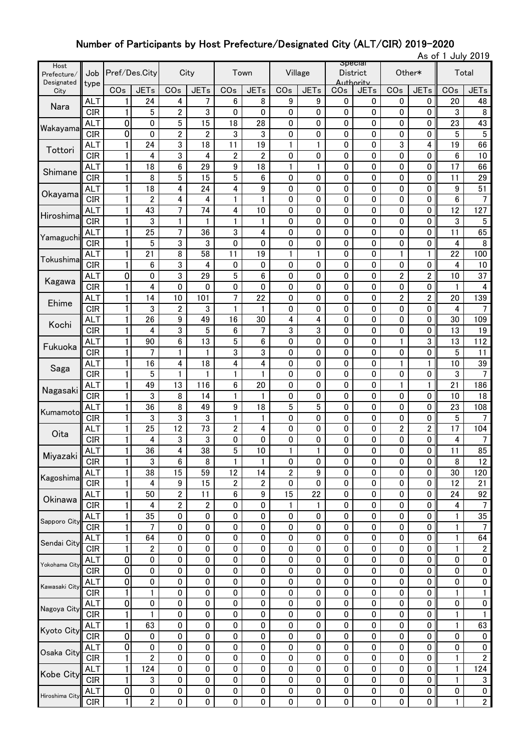### Number of Participants by Host Prefecture/Designated City (ALT/CIR) 2019-2020

|                                   |                          |                                          |                      |                  |                         |                     |                  |                  |             |        |                                         |                             |                             | As of 1 July 2019 |                      |
|-----------------------------------|--------------------------|------------------------------------------|----------------------|------------------|-------------------------|---------------------|------------------|------------------|-------------|--------|-----------------------------------------|-----------------------------|-----------------------------|-------------------|----------------------|
| Host<br>Prefecture/<br>Designated | Job<br>type              |                                          | Pref/Des.City        |                  | City                    |                     | Town             | Village          |             |        | <b>Special</b><br>District<br>Authority |                             | Other*                      | Total             |                      |
| City                              |                          | COs                                      | <b>JETs</b>          | CO <sub>s</sub>  | <b>JETs</b>             | COs                 | <b>JETs</b>      | CO <sub>s</sub>  | <b>JETs</b> | COs    | <b>JETs</b>                             | CO <sub>s</sub>             | <b>JETs</b>                 | COs               | <b>JETs</b>          |
| Nara                              | <b>ALT</b>               | 1                                        | 24                   | 4                | 7                       | 6                   | 8                | 9                | 9           | 0      | 0                                       | 0                           | 0                           | 20                | 48                   |
|                                   | <b>CIR</b>               | 1                                        | 5                    | 2<br>5           | 3<br>15                 | 0                   | 0                | 0                | 0           | 0      | 0                                       | 0                           | 0                           | 3                 | $\bf 8$              |
| Wakayama                          | <b>ALT</b><br><b>CIR</b> | 0<br>0                                   | 0<br>0               | 2                | $\overline{c}$          | 18<br>3             | 28<br>3          | 0<br>0           | 0<br>0      | 0<br>0 | 0<br>0                                  | 0<br>0                      | 0<br>0                      | 23<br>5           | 43<br>$\overline{5}$ |
|                                   | <b>ALT</b>               | 1                                        | 24                   | 3                | 18                      | 11                  | 19               | 1                | 1           | 0      | 0                                       | 3                           | 4                           | 19                | 66                   |
| Tottori                           | <b>CIR</b>               | $\mathbf{1}$                             | 4                    | 3                | 4                       | 2                   | $\overline{2}$   | $\pmb{0}$        | 0           | 0      | 0                                       | 0                           | 0                           | 6                 | $10$                 |
| Shimane                           | <b>ALT</b>               | $\mathbf{1}$                             | 18                   | 6                | 29                      | 9                   | 18               | 1                | 1           | 0      | 0                                       | 0                           | 0                           | 17                | 66                   |
|                                   | <b>CIR</b>               | 1                                        | 8                    | 5                | 15                      | 5                   | 6                | 0                | 0           | 0      | 0                                       | 0                           | 0                           | 11                | 29                   |
| Okayama                           | <b>ALT</b><br><b>CIR</b> | 1                                        | 18                   | 4                | 24                      | 4                   | 9<br>1           | 0                | 0           | 0      | 0                                       | 0                           | 0                           | 9                 | 51<br>7              |
|                                   | <b>ALT</b>               | $\mathbf{1}$<br>1                        | $\overline{2}$<br>43 | 4<br>7           | 4<br>74                 | $\mathbf{1}$<br>4   | 10               | 0<br>0           | 0<br>0      | 0<br>0 | 0<br>0                                  | 0<br>$\mathbf 0$            | 0<br>0                      | 6<br>12           | 127                  |
| Hiroshima                         | <b>CIR</b>               | $\mathbf{1}$                             | 3                    | 1                | 1                       | 1                   | 1                | 0                | 0           | 0      | 0                                       | 0                           | 0                           | 3                 | $\overline{5}$       |
|                                   | <b>ALT</b>               | $\mathbf{1}$                             | 25                   | 7                | 36                      | 3                   | 4                | $\mathbf 0$      | 0           | 0      | 0                                       | $\mathbf 0$                 | 0                           | 11                | 65                   |
| Yamaguchi                         | <b>CIR</b>               | 1                                        | 5                    | 3                | 3                       | 0                   | 0                | 0                | 0           | 0      | 0                                       | 0                           | 0                           | 4                 | 8                    |
| Tokushima                         | <b>ALT</b>               | $\mathbf{1}$                             | 21                   | 8                | 58                      | 11                  | 19               | 1                | 1           | 0      | 0                                       | $\mathbf{1}$                | 1                           | 22                | 100                  |
|                                   | <b>CIR</b>               | $\mathbf{1}$                             | 6                    | 3                | 4                       | 0                   | 0                | 0                | 0           | 0      | 0                                       | 0                           | 0                           | 4                 | $10$                 |
| Kagawa                            | <b>ALT</b>               | 0<br>$\mathbf{1}$                        | $\pmb{0}$            | 3                | 29                      | 5                   | 6                | 0<br>$\mathbf 0$ | 0           | 0      | 0<br>0                                  | $\overline{2}$              | $\overline{2}$              | 10                | 37                   |
|                                   | <b>CIR</b><br><b>ALT</b> | $\mathbf{1}$                             | 4<br>14              | $\pmb{0}$<br>10  | 0<br>101                | 0<br>$\overline{7}$ | 0<br>22          | 0                | 0<br>0      | 0<br>0 | 0                                       | $\pmb{0}$<br>$\overline{2}$ | $\pmb{0}$<br>$\overline{2}$ | 1<br>20           | 4<br>139             |
| Ehime                             | <b>CIR</b>               | $\mathbf{1}$                             | 3                    | $\overline{2}$   | 3                       | 1                   | 1                | $\mathbf 0$      | 0           | 0      | 0                                       | $\bf{0}$                    | $\pmb{0}$                   | 4                 | 7                    |
|                                   | <b>ALT</b>               | $\mathbf{1}$                             | 26                   | $\boldsymbol{9}$ | 49                      | 16                  | 30               | 4                | 4           | 0      | 0                                       | 0                           | $\pmb{0}$                   | 30                | 109                  |
| Kochi                             | <b>CIR</b>               | 1                                        | 4                    | 3                | 5                       | 6                   | $\overline{7}$   | 3                | 3           | 0      | 0                                       | 0                           | 0                           | 13                | 19                   |
| Fukuoka                           | ALT                      | $\mathbf{1}$                             | 90                   | 6                | 13                      | 5                   | 6                | 0                | 0           | 0      | 0                                       | 1                           | 3                           | 13                | 112                  |
|                                   | <b>CIR</b>               | $\mathbf{1}$                             | 7                    | 1                | 1                       | 3                   | 3                | $\mathbf 0$      | 0           | 0      | 0                                       | $\mathbf 0$                 | $\mathbf 0$                 | 5                 | 11                   |
| Saga                              | <b>ALT</b>               | $\mathbf{1}$                             | 16                   | 4                | 18                      | 4                   | 4                | 0                | 0           | 0      | 0                                       | 1                           | 1                           | 10                | 39                   |
|                                   | <b>CIR</b><br><b>ALT</b> | $\mathbf{1}$<br>$\mathbf{1}$             | 5<br>49              | 1<br>13          | 1<br>116                | 1<br>6              | 1<br>20          | 0<br>0           | 0<br>0      | 0<br>0 | 0<br>0                                  | 0<br>1                      | 0<br>1                      | 3<br>21           | 7<br>186             |
| Nagasaki                          | <b>CIR</b>               | 1                                        | 3                    | 8                | 14                      | 1                   | 1                | 0                | 0           | 0      | 0                                       | 0                           | 0                           | 10                | 18                   |
|                                   | <b>ALT</b>               | 1                                        | 36                   | 8                | 49                      | 9                   | 18               | 5                | 5           | 0      | 0                                       | 0                           | 0                           | 23                | 108                  |
| Kumamoto                          | <b>CIR</b>               | $\mathbf{1}$                             | 3                    | 3                | 3                       | 1                   | 1                | 0                | 0           | 0      | 0                                       | $\bf{0}$                    | 0                           | 5                 | 7                    |
| Oita                              | <b>ALT</b>               | 1                                        | 25                   | 12               | 73                      | $\overline{c}$      | 4                | 0                | 0           | 0      | 0                                       | $\overline{2}$              | $\overline{2}$              | 17                | 104                  |
|                                   | <b>CIR</b>               | 1                                        | 4                    | 3                | 3                       | 0                   | 0                | 0                | 0           | 0      | 0                                       | 0                           | 0                           | 4                 | 7                    |
| Miyazaki                          | <b>ALT</b><br><b>CIR</b> | $\overline{\phantom{a}}$<br>$\mathbf{1}$ | 36                   | $\overline{4}$   | 38                      | 5                   | $10$             | $\mathbf{1}$     | 1           | 0      | 0                                       | 0                           | $\pmb{0}$                   | 11                | 85                   |
|                                   | <b>ALT</b>               | 1                                        | 3<br>38              | 6<br>15          | 8<br>59                 | 1<br>12             | 1<br>14          | 0<br>2           | 0<br>9      | 0<br>0 | 0<br>0                                  | 0<br>0                      | 0<br>0                      | 8<br>30           | 12<br>120            |
| Kagoshima                         | CIR                      | $\mathbf{1}$                             | 4                    | 9                | 15                      | $\boldsymbol{2}$    | $\overline{2}$   | $\mathbf 0$      | 0           | 0      | 0                                       | 0                           | 0                           | 12                | 21                   |
|                                   | <b>ALT</b>               | 1                                        | 50                   | $\overline{2}$   | 11                      | 6                   | $\boldsymbol{9}$ | 15               | 22          | 0      | 0                                       | 0                           | 0                           | 24                | 92                   |
| Okinawa                           | <b>CIR</b>               | 1                                        | 4                    | $\overline{2}$   | $\overline{\mathbf{c}}$ | 0                   | 0                | 1                | 1           | 0      | 0                                       | 0                           | 0                           | 4                 | $\overline{7}$       |
| Sapporo City                      | <b>ALT</b>               | 1                                        | 35                   | 0                | 0                       | 0                   | 0                | 0                | 0           | 0      | 0                                       | 0                           | 0                           | 1                 | 35                   |
|                                   | <b>CIR</b>               | 1                                        | 7                    | 0                | 0                       | 0                   | 0                | 0                | 0           | 0      | 0                                       | 0                           | 0                           | 1                 | 7                    |
| Sendai City                       | <b>ALT</b><br><b>CIR</b> | $\mathbf{1}$<br>$\mathbf{1}$             | 64<br>$\overline{2}$ | 0<br>$\pmb{0}$   | $\pmb{0}$<br>0          | 0<br>0              | 0<br>$\pmb{0}$   | 0<br>$\mathbf 0$ | 0<br>0      | 0<br>0 | 0<br>0                                  | 0<br>0                      | 0<br>$\pmb{0}$              | 1<br>1            | 64<br>$\overline{2}$ |
|                                   | <b>ALT</b>               | 0                                        | $\pmb{0}$            | $\pmb{0}$        | 0                       | 0                   | $\pmb{0}$        | $\mathbf 0$      | 0           | 0      | 0                                       | 0                           | $\pmb{0}$                   | $\pmb{0}$         | $\pmb{0}$            |
| Yokohama City                     | <b>CIR</b>               | $\pmb{0}$                                | $\pmb{0}$            | $\pmb{0}$        | 0                       | 0                   | 0                | $\mathbf 0$      | 0           | 0      | 0                                       | 0                           | $\pmb{0}$                   | 0                 | $\pmb{0}$            |
| Kawasaki City                     | <b>ALT</b>               | $\pmb{0}$                                | $\pmb{0}$            | $\pmb{0}$        | 0                       | 0                   | 0                | 0                | $\pmb{0}$   | 0      | 0                                       | 0                           | $\pmb{0}$                   | 0                 | $\pmb{0}$            |
|                                   | <b>CIR</b>               | 1                                        | 1                    | $\pmb{0}$        | 0                       | 0                   | 0                | 0                | 0           | 0      | 0                                       | 0                           | $\pmb{0}$                   | 1                 | 1                    |
| Nagoya City                       | <b>ALT</b>               | 0                                        | 0                    | $\pmb{0}$        | 0                       | 0                   | 0                | $\pmb{0}$        | 0           | 0      | 0                                       | 0                           | $\pmb{0}$                   | 0                 | $\pmb{0}$            |
|                                   | <b>CIR</b>               | 1                                        | 1                    | $\pmb{0}$        | 0                       | 0                   | 0                | $\pmb{0}$        | 0           | 0      | 0                                       | 0                           | $\pmb{0}$                   | 1                 | 1                    |
| Kyoto City                        | <b>ALT</b><br><b>CIR</b> | 1<br>0                                   | 63<br>0              | 0<br>0           | 0<br>0                  | 0<br>0              | 0<br>0           | 0<br>$\pmb{0}$   | 0<br>0      | 0<br>0 | 0<br>0                                  | 0<br>0                      | 0<br>0                      | 1<br>0            | 63<br>0              |
|                                   | <b>ALT</b>               | 0                                        | $\pmb{0}$            | 0                | 0                       | 0                   | 0                | 0                | 0           | 0      | 0                                       | 0                           | $\pmb{0}$                   | 0                 | $\pmb{0}$            |
| Osaka City                        | <b>CIR</b>               | 1                                        | 2                    | 0                | 0                       | 0                   | 0                | 0                | 0           | 0      | 0                                       | 0                           | 0                           | 1                 | $\mathbf{2}$         |
| Kobe City                         | <b>ALT</b>               | $\mathbf{1}$                             | 124                  | 0                | 0                       | 0                   | 0                | 0                | 0           | 0      | 0                                       | 0                           | 0                           | 1                 | 124                  |
|                                   | <b>CIR</b>               | 1                                        | 3                    | $\pmb{0}$        | 0                       | 0                   | $\pmb{0}$        | $\pmb{0}$        | 0           | 0      | 0                                       | 0                           | $\pmb{0}$                   | 1                 | $\mathbf 3$          |
| Hiroshima City                    | <b>ALT</b>               | $\pmb{0}$                                | $\pmb{0}$            | 0                | 0                       | 0                   | 0                | $\pmb{0}$        | 0           | 0      | 0                                       | 0                           | 0                           | 0                 | $\pmb{0}$            |
|                                   | <b>CIR</b>               | $\mathbf{1}$                             | $\overline{2}$       | 0                | 0                       | $\pmb{0}$           | $\pmb{0}$        | 0                | 0           | 0      | 0                                       | 0                           | 0                           | 1                 | $\overline{2}$       |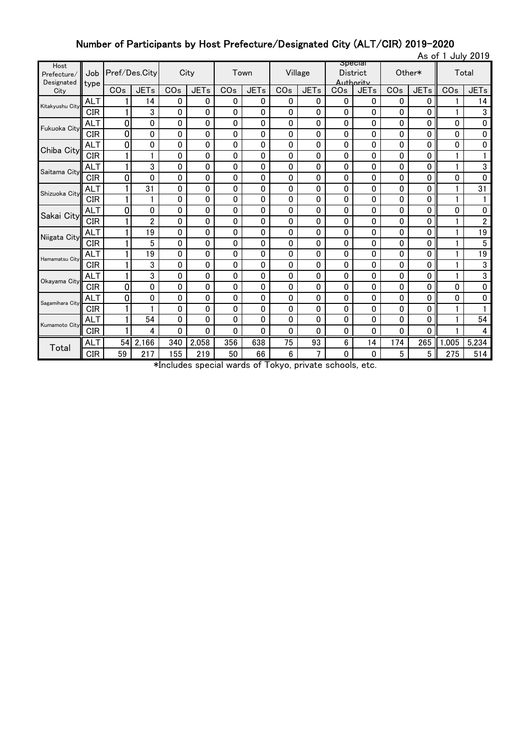### Number of Participants by Host Prefecture/Designated City (ALT/CIR) 2019-2020

|                                   |             |               |              |              |                                                         |      |             |         |             |          |                             |                 |             | As of 1 July 2019 |                |
|-----------------------------------|-------------|---------------|--------------|--------------|---------------------------------------------------------|------|-------------|---------|-------------|----------|-----------------------------|-----------------|-------------|-------------------|----------------|
| Host<br>Prefecture/<br>Designated | Job<br>type | Pref/Des.City |              |              | City                                                    | Town |             | Village |             | District | <b>Special</b><br>Authority |                 | Other*      |                   | Total          |
| City                              |             | COs           | <b>JETs</b>  | COs          | <b>JETs</b>                                             | COs  | <b>JETs</b> | COs     | <b>JETs</b> | COs      | <b>JETs</b>                 | CO <sub>s</sub> | <b>JETs</b> | COs               | <b>JETs</b>    |
| Kitakyushu City                   | <b>ALT</b>  |               | 14           | 0            | 0                                                       | 0    | $\mathbf 0$ | 0       | 0           | 0        | 0                           | 0               | 0           |                   | 14             |
|                                   | <b>CIR</b>  |               | 3            | 0            | 0                                                       | 0    | 0           | 0       | 0           | 0        | 0                           | 0               | 0           |                   | 3              |
| Fukuoka City                      | <b>ALT</b>  | 0             | 0            | 0            | 0                                                       | 0    | 0           | 0       | 0           | 0        | 0                           | 0               | 0           | 0                 | 0              |
|                                   | <b>CIR</b>  | 0             | 0            | 0            | 0                                                       | 0    | 0           | 0       | 0           | 0        | 0                           | 0               | 0           | 0                 | 0              |
| Chiba City                        | <b>ALT</b>  | 0             | 0            | 0            | 0                                                       | 0    | 0           | 0       | 0           | 0        | 0                           | 0               | 0           | 0                 | 0              |
|                                   | <b>CIR</b>  |               |              | 0            | 0                                                       | 0    | 0           | 0       | 0           | 0        | 0                           | 0               | 0           |                   |                |
| Saitama City                      | <b>ALT</b>  |               | 3            | 0            | 0                                                       | 0    | 0           | 0       | 0           | 0        | 0                           | 0               | 0           |                   | 3              |
|                                   | <b>CIR</b>  | 0             | 0            | $\mathbf{0}$ | 0                                                       | 0    | 0           | 0       | 0           | 0        | 0                           | 0               | 0           | 0                 | 0              |
| Shizuoka City                     | <b>ALT</b>  | 1             | 31           | 0            | 0                                                       | 0    | 0           | 0       | 0           | 0        | 0                           | 0               | 0           |                   | 31             |
|                                   | <b>CIR</b>  |               |              | 0            | 0                                                       | 0    | 0           | 0       | 0           | 0        | 0                           | 0               | 0           |                   |                |
| Sakai City                        | <b>ALT</b>  | 0             | 0            | $\mathbf{0}$ | 0                                                       | 0    | 0           | 0       | 0           | 0        | 0                           | 0               | 0           | 0                 | 0              |
|                                   | <b>CIR</b>  |               | $\mathbf{2}$ | 0            | 0                                                       | 0    | 0           | 0       | 0           | 0        | 0                           | 0               | 0           |                   | $\overline{2}$ |
| Niigata City                      | <b>ALT</b>  |               | 19           | 0            | 0                                                       | 0    | 0           | 0       | 0           | 0        | 0                           | 0               | 0           |                   | 19             |
|                                   | <b>CIR</b>  |               | 5            | 0            | 0                                                       | 0    | 0           | 0       | 0           | 0        | 0                           | 0               | 0           |                   | $\overline{5}$ |
| Hamamatsu City                    | <b>ALT</b>  | 1             | 19           | 0            | 0                                                       | 0    | 0           | 0       | 0           | 0        | 0                           | 0               | 0           |                   | 19             |
|                                   | <b>CIR</b>  |               | 3            | 0            | 0                                                       | 0    | 0           | 0       | 0           | 0        | 0                           | 0               | 0           |                   | 3              |
| Okayama City                      | <b>ALT</b>  |               | 3            | 0            | 0                                                       | 0    | 0           | 0       | 0           | 0        | 0                           | 0               | 0           |                   | 3              |
|                                   | <b>CIR</b>  | 0             | 0            | 0            | 0                                                       | 0    | 0           | 0       | 0           | 0        | 0                           | 0               | 0           | 0                 | 0              |
| Sagamihara City                   | <b>ALT</b>  | 0             | $\mathbf 0$  | 0            | 0                                                       | 0    | 0           | 0       | 0           | 0        | 0                           | 0               | 0           | 0                 | 0              |
|                                   | <b>CIR</b>  |               |              | 0            | 0                                                       | 0    | 0           | 0       | 0           | 0        | 0                           | 0               | 0           |                   |                |
| Kumamoto City                     | <b>ALT</b>  | 1             | 54           | 0            | 0                                                       | 0    | 0           | 0       | 0           | 0        | 0                           | 0               | 0           |                   | 54             |
|                                   | <b>CIR</b>  | 1             | 4            | 0            | 0                                                       | 0    | 0           | 0       | 0           | 0        | $\Omega$                    | 0               | 0           |                   | 4              |
| Total                             | ALT         | 54            | 2,166        | 340          | 2,058                                                   | 356  | 638         | 75      | 93          | 6        | 14                          | 174             | 265         | 1,005             | 5,234          |
|                                   | <b>CIR</b>  | 59            | 217          | 155          | 219<br>*Ingludes special words of Takyo private sepects | 50   | 66          | 6       | 7           | 0        | 0                           | 5               | 5           | 275               | 514            |

\*Includes special wards of Tokyo, private schools, etc.